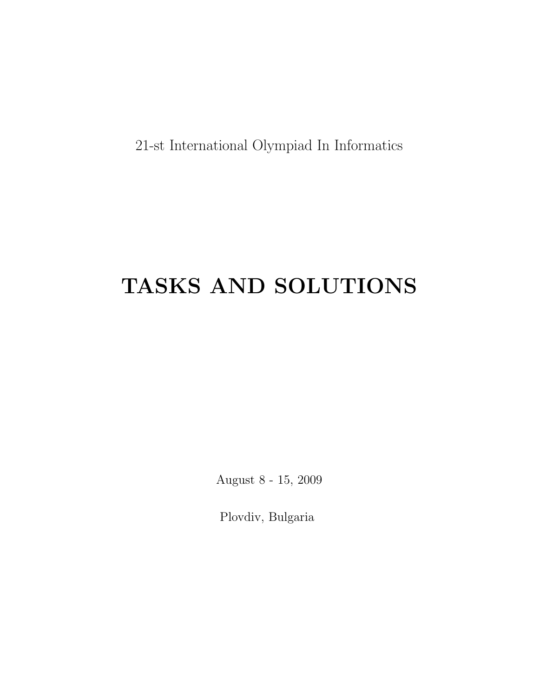21-st International Olympiad In Informatics

# TASKS AND SOLUTIONS

August 8 - 15, 2009

Plovdiv, Bulgaria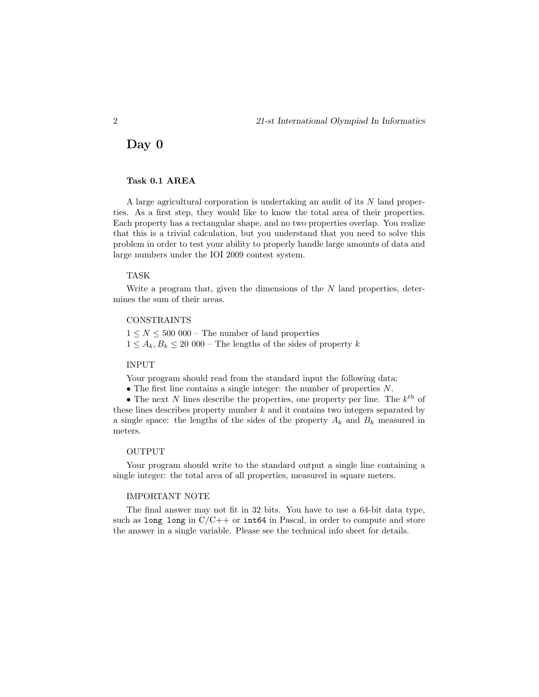# Day 0

### Task 0.1 AREA

A large agricultural corporation is undertaking an audit of its N land properties. As a first step, they would like to know the total area of their properties. Each property has a rectangular shape, and no two properties overlap. You realize that this is a trivial calculation, but you understand that you need to solve this problem in order to test your ability to properly handle large amounts of data and large numbers under the IOI 2009 contest system.

## TASK

Write a program that, given the dimensions of the  $N$  land properties, determines the sum of their areas.

#### CONSTRAINTS

 $1 \leq N \leq 500\,000$  – The number of land properties  $1 \leq A_k, B_k \leq 20$ 000 – The lengths of the sides of property  $k$ 

## INPUT

Your program should read from the standard input the following data:

• The first line contains a single integer: the number of properties  $N$ .

• The next N lines describe the properties, one property per line. The  $k^{th}$  of these lines describes property number  $k$  and it contains two integers separated by a single space: the lengths of the sides of the property  $A_k$  and  $B_k$  measured in meters.

## OUTPUT

Your program should write to the standard output a single line containing a single integer: the total area of all properties, measured in square meters.

#### IMPORTANT NOTE

The final answer may not fit in 32 bits. You have to use a 64-bit data type, such as long long in  $C/C++$  or int64 in Pascal, in order to compute and store the answer in a single variable. Please see the technical info sheet for details.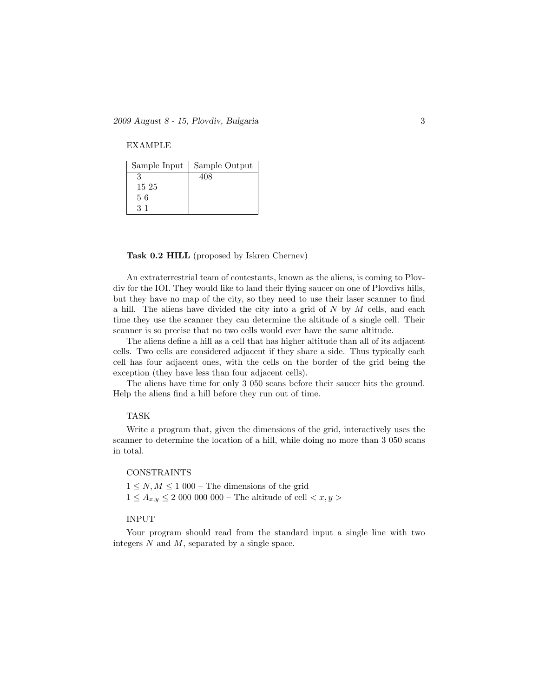#### EXAMPLE

| Sample Input | Sample Output |
|--------------|---------------|
|              | 408           |
| 15 25        |               |
| 56           |               |
|              |               |

Task 0.2 HILL (proposed by Iskren Chernev)

An extraterrestrial team of contestants, known as the aliens, is coming to Plovdiv for the IOI. They would like to land their flying saucer on one of Plovdivs hills, but they have no map of the city, so they need to use their laser scanner to find a hill. The aliens have divided the city into a grid of  $N$  by  $M$  cells, and each time they use the scanner they can determine the altitude of a single cell. Their scanner is so precise that no two cells would ever have the same altitude.

The aliens define a hill as a cell that has higher altitude than all of its adjacent cells. Two cells are considered adjacent if they share a side. Thus typically each cell has four adjacent ones, with the cells on the border of the grid being the exception (they have less than four adjacent cells).

The aliens have time for only 3 050 scans before their saucer hits the ground. Help the aliens find a hill before they run out of time.

## TASK

Write a program that, given the dimensions of the grid, interactively uses the scanner to determine the location of a hill, while doing no more than 3 050 scans in total.

#### CONSTRAINTS

 $1 \leq N, M \leq 1$  000 – The dimensions of the grid  $1 \le A_{x,y} \le 2\,000\,000\,000$  – The altitude of cell  $\langle x, y \rangle$ 

## INPUT

Your program should read from the standard input a single line with two integers N and M, separated by a single space.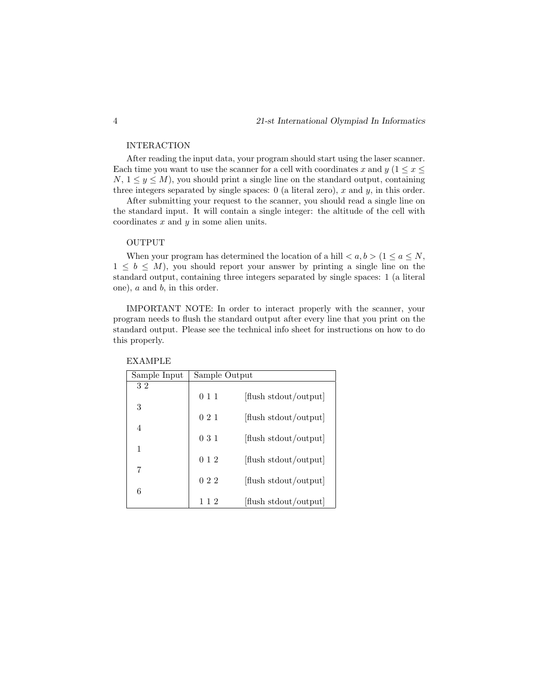## INTERACTION

After reading the input data, your program should start using the laser scanner. Each time you want to use the scanner for a cell with coordinates x and  $y$  (1  $\leq$  x  $\leq$  $N, 1 \leq y \leq M$ , you should print a single line on the standard output, containing three integers separated by single spaces:  $0$  (a literal zero), x and y, in this order.

After submitting your request to the scanner, you should read a single line on the standard input. It will contain a single integer: the altitude of the cell with coordinates  $x$  and  $y$  in some alien units.

#### OUTPUT

When your program has determined the location of a hill  $\langle a, b \rangle$  ( $1 \le a \le N$ ,  $1 \leq b \leq M$ , you should report your answer by printing a single line on the standard output, containing three integers separated by single spaces: 1 (a literal one), a and b, in this order.

IMPORTANT NOTE: In order to interact properly with the scanner, your program needs to flush the standard output after every line that you print on the standard output. Please see the technical info sheet for instructions on how to do this properly.

| Sample Input | Sample Output |                       |
|--------------|---------------|-----------------------|
| 32           |               |                       |
|              | 011           | flush stdout/output   |
| 3            |               |                       |
|              | $0\ 2\ 1$     | [flush stdout/output] |
| 4            |               |                       |
|              | 0 3 1         | [flush stdout/output] |
| 1            |               |                       |
|              | 0 1 2         | flush stdout/output   |
| 7            |               |                       |
|              | 022           | [flush stdout/output] |
| 6            |               |                       |
|              | 12            | [flush stdout/output] |

EXAMPLE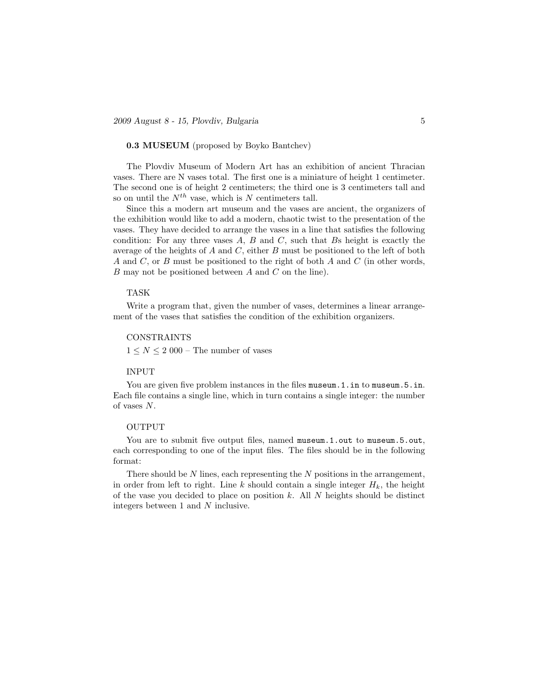## 0.3 MUSEUM (proposed by Boyko Bantchev)

The Plovdiv Museum of Modern Art has an exhibition of ancient Thracian vases. There are N vases total. The first one is a miniature of height 1 centimeter. The second one is of height 2 centimeters; the third one is 3 centimeters tall and so on until the  $N^{th}$  vase, which is N centimeters tall.

Since this a modern art museum and the vases are ancient, the organizers of the exhibition would like to add a modern, chaotic twist to the presentation of the vases. They have decided to arrange the vases in a line that satisfies the following condition: For any three vases  $A, B$  and  $C$ , such that  $B$ s height is exactly the average of the heights of  $A$  and  $C$ , either  $B$  must be positioned to the left of both A and C, or B must be positioned to the right of both A and C (in other words, B may not be positioned between A and C on the line).

## TASK

Write a program that, given the number of vases, determines a linear arrangement of the vases that satisfies the condition of the exhibition organizers.

#### CONSTRAINTS

 $1 \leq N \leq 2000$  – The number of vases

#### INPUT

You are given five problem instances in the files museum.1. in to museum.5. in. Each file contains a single line, which in turn contains a single integer: the number of vases N.

#### OUTPUT

You are to submit five output files, named museum.1.out to museum.5.out, each corresponding to one of the input files. The files should be in the following format:

There should be  $N$  lines, each representing the  $N$  positions in the arrangement, in order from left to right. Line k should contain a single integer  $H_k$ , the height of the vase you decided to place on position  $k$ . All  $N$  heights should be distinct integers between 1 and N inclusive.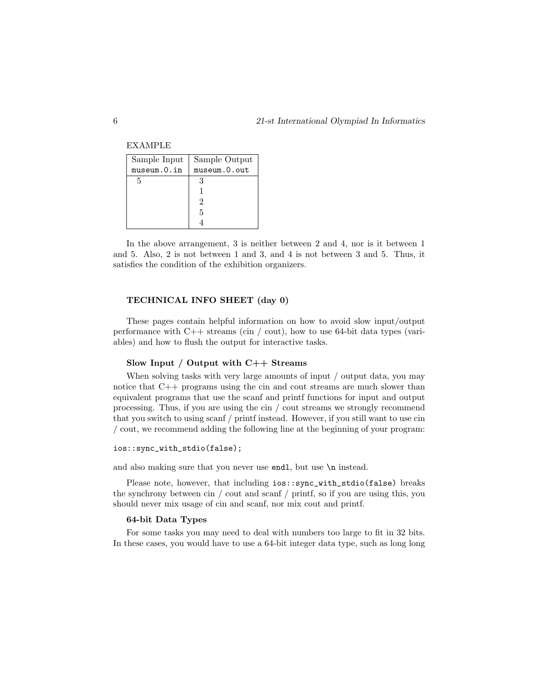EXAMPLE

| Sample Input | Sample Output |
|--------------|---------------|
| museum.O.in  | museum.0.out  |
| 5            | З             |
|              |               |
|              | 2             |
|              | 5             |
|              |               |

In the above arrangement, 3 is neither between 2 and 4, nor is it between 1 and 5. Also, 2 is not between 1 and 3, and 4 is not between 3 and 5. Thus, it satisfies the condition of the exhibition organizers.

## TECHNICAL INFO SHEET (day 0)

These pages contain helpful information on how to avoid slow input/output performance with  $C++$  streams (cin / cout), how to use 64-bit data types (variables) and how to flush the output for interactive tasks.

#### Slow Input / Output with  $C++$  Streams

When solving tasks with very large amounts of input / output data, you may notice that C++ programs using the cin and cout streams are much slower than equivalent programs that use the scanf and printf functions for input and output processing. Thus, if you are using the cin / cout streams we strongly recommend that you switch to using scanf / printf instead. However, if you still want to use cin / cout, we recommend adding the following line at the beginning of your program:

```
ios::sync_with_stdio(false);
```
and also making sure that you never use endl, but use  $\n$ n instead.

Please note, however, that including ios::sync\_with\_stdio(false) breaks the synchrony between cin / cout and scanf / printf, so if you are using this, you should never mix usage of cin and scanf, nor mix cout and printf.

#### 64-bit Data Types

For some tasks you may need to deal with numbers too large to fit in 32 bits. In these cases, you would have to use a 64-bit integer data type, such as long long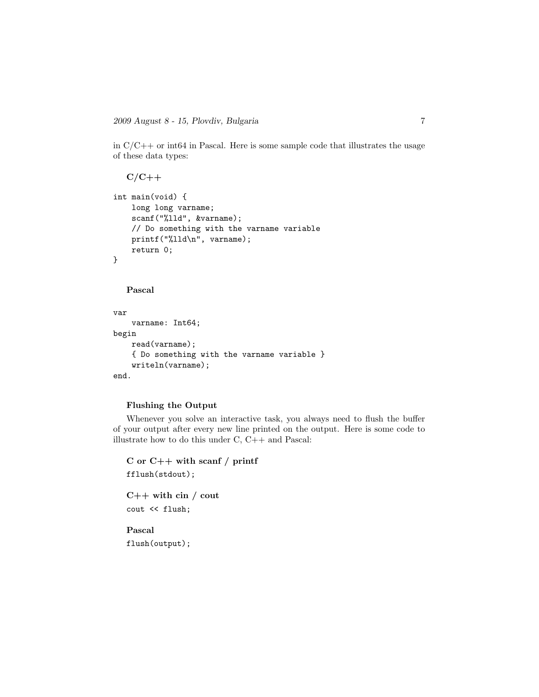in  $C/C++$  or int64 in Pascal. Here is some sample code that illustrates the usage of these data types:

```
C/C++int main(void) {
   long long varname;
   scanf("%lld", &varname);
   // Do something with the varname variable
   printf("%lld\n", varname);
   return 0;
}
```
Pascal

```
var
    varname: Int64;
begin
    read(varname);
    { Do something with the varname variable }
    writeln(varname);
end.
```
## Flushing the Output

Whenever you solve an interactive task, you always need to flush the buffer of your output after every new line printed on the output. Here is some code to illustrate how to do this under C, C++ and Pascal:

C or  $C++$  with scanf / printf fflush(stdout);  $C++$  with cin / cout cout << flush;

Pascal flush(output);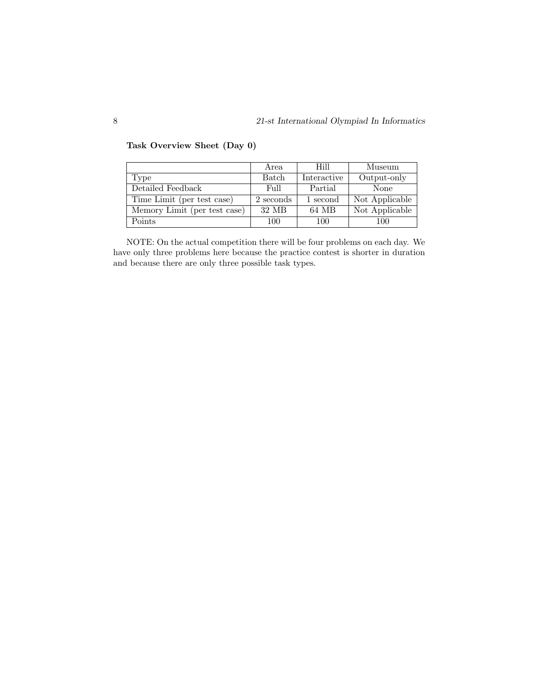|                              | Area      | Hill        | Museum         |
|------------------------------|-----------|-------------|----------------|
| Type                         | Batch     | Interactive | Output-only    |
| Detailed Feedback            | Full      | Partial     | None           |
| Time Limit (per test case)   | 2 seconds | 1 second    | Not Applicable |
| Memory Limit (per test case) | 32 MB     | 64 MB       | Not Applicable |
| Points                       | 100       | 100         | 100            |

Task Overview Sheet (Day 0)

NOTE: On the actual competition there will be four problems on each day. We have only three problems here because the practice contest is shorter in duration and because there are only three possible task types.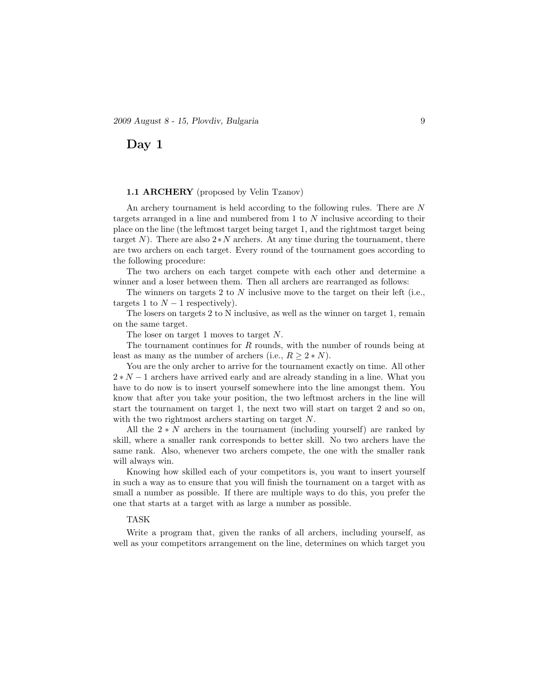# Day 1

#### 1.1 ARCHERY (proposed by Velin Tzanov)

An archery tournament is held according to the following rules. There are N targets arranged in a line and numbered from 1 to N inclusive according to their place on the line (the leftmost target being target 1, and the rightmost target being target N). There are also  $2*N$  archers. At any time during the tournament, there are two archers on each target. Every round of the tournament goes according to the following procedure:

The two archers on each target compete with each other and determine a winner and a loser between them. Then all archers are rearranged as follows:

The winners on targets 2 to N inclusive move to the target on their left (i.e., targets 1 to  $N-1$  respectively).

The losers on targets 2 to N inclusive, as well as the winner on target 1, remain on the same target.

The loser on target 1 moves to target N.

The tournament continues for R rounds, with the number of rounds being at least as many as the number of archers (i.e.,  $R \geq 2*N$ ).

You are the only archer to arrive for the tournament exactly on time. All other  $2*N-1$  archers have arrived early and are already standing in a line. What you have to do now is to insert yourself somewhere into the line amongst them. You know that after you take your position, the two leftmost archers in the line will start the tournament on target 1, the next two will start on target 2 and so on, with the two rightmost archers starting on target N.

All the  $2*N$  archers in the tournament (including yourself) are ranked by skill, where a smaller rank corresponds to better skill. No two archers have the same rank. Also, whenever two archers compete, the one with the smaller rank will always win.

Knowing how skilled each of your competitors is, you want to insert yourself in such a way as to ensure that you will finish the tournament on a target with as small a number as possible. If there are multiple ways to do this, you prefer the one that starts at a target with as large a number as possible.

#### TASK

Write a program that, given the ranks of all archers, including yourself, as well as your competitors arrangement on the line, determines on which target you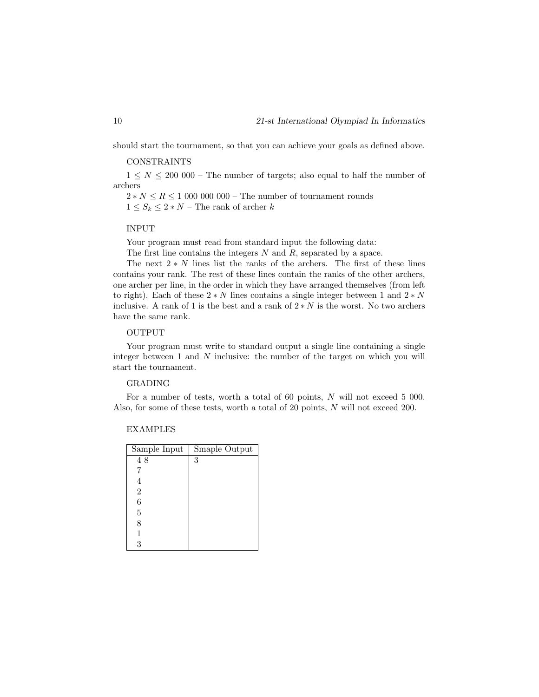should start the tournament, so that you can achieve your goals as defined above.

## CONSTRAINTS

 $1 \leq N \leq 200\,000$  – The number of targets; also equal to half the number of archers

 $2*N \leq R \leq 1$  000 000 000 – The number of tournament rounds  $1 \leq S_k \leq 2*N$  – The rank of archer k

#### INPUT

Your program must read from standard input the following data:

The first line contains the integers N and R, separated by a space.

The next  $2*N$  lines list the ranks of the archers. The first of these lines contains your rank. The rest of these lines contain the ranks of the other archers, one archer per line, in the order in which they have arranged themselves (from left to right). Each of these  $2*N$  lines contains a single integer between 1 and  $2*N$ inclusive. A rank of 1 is the best and a rank of  $2*N$  is the worst. No two archers have the same rank.

#### OUTPUT

Your program must write to standard output a single line containing a single integer between 1 and N inclusive: the number of the target on which you will start the tournament.

#### GRADING

For a number of tests, worth a total of 60 points, N will not exceed 5 000. Also, for some of these tests, worth a total of 20 points, N will not exceed 200.

| Sample Input   | Smaple Output |
|----------------|---------------|
| 48             | 3             |
|                |               |
|                |               |
| $\overline{2}$ |               |
| 6              |               |
| 5              |               |
|                |               |
|                |               |
|                |               |

#### EXAMPLES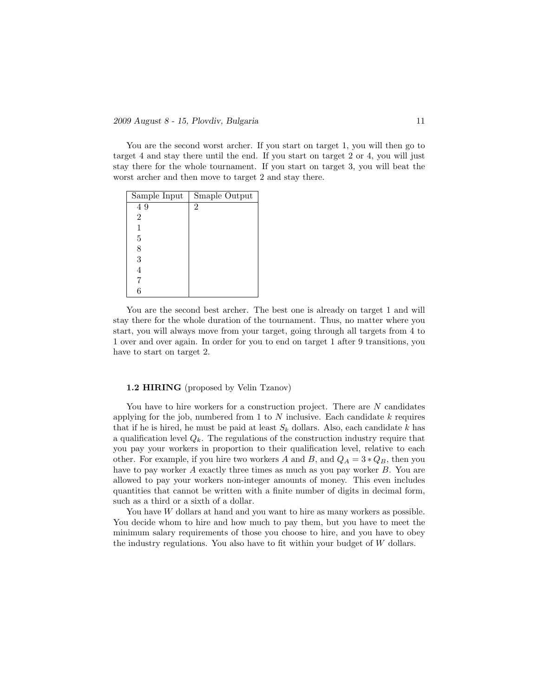You are the second worst archer. If you start on target 1, you will then go to target 4 and stay there until the end. If you start on target 2 or 4, you will just stay there for the whole tournament. If you start on target 3, you will beat the worst archer and then move to target 2 and stay there.

| Sample Input   | Smaple Output  |
|----------------|----------------|
| 49             | $\overline{2}$ |
| $\overline{2}$ |                |
| 1              |                |
| $\overline{5}$ |                |
| 8              |                |
| 3              |                |
| 4              |                |
|                |                |
| հ              |                |

You are the second best archer. The best one is already on target 1 and will stay there for the whole duration of the tournament. Thus, no matter where you start, you will always move from your target, going through all targets from 4 to 1 over and over again. In order for you to end on target 1 after 9 transitions, you have to start on target 2.

#### 1.2 HIRING (proposed by Velin Tzanov)

You have to hire workers for a construction project. There are  $N$  candidates applying for the job, numbered from 1 to  $N$  inclusive. Each candidate  $k$  requires that if he is hired, he must be paid at least  $S_k$  dollars. Also, each candidate k has a qualification level  $Q_k$ . The regulations of the construction industry require that you pay your workers in proportion to their qualification level, relative to each other. For example, if you hire two workers A and B, and  $Q_A = 3 \times Q_B$ , then you have to pay worker A exactly three times as much as you pay worker B. You are allowed to pay your workers non-integer amounts of money. This even includes quantities that cannot be written with a finite number of digits in decimal form, such as a third or a sixth of a dollar.

You have W dollars at hand and you want to hire as many workers as possible. You decide whom to hire and how much to pay them, but you have to meet the minimum salary requirements of those you choose to hire, and you have to obey the industry regulations. You also have to fit within your budget of  $W$  dollars.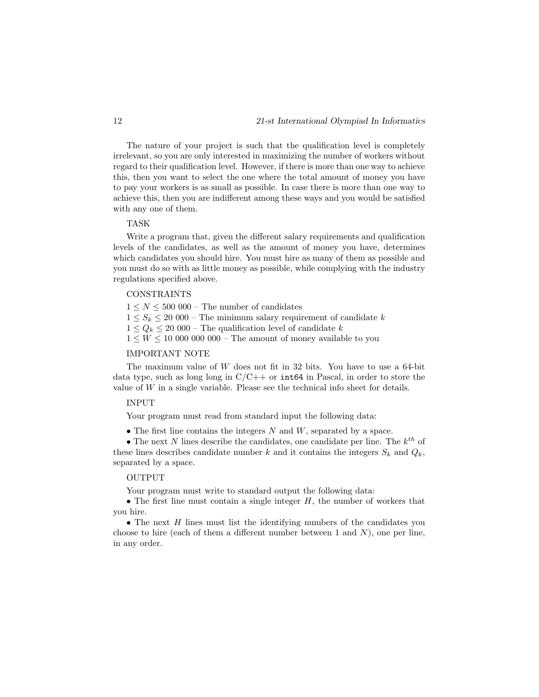The nature of your project is such that the qualification level is completely irrelevant, so you are only interested in maximizing the number of workers without regard to their qualification level. However, if there is more than one way to achieve this, then you want to select the one where the total amount of money you have to pay your workers is as small as possible. In case there is more than one way to achieve this, then you are indifferent among these ways and you would be satisfied with any one of them.

## TASK

Write a program that, given the different salary requirements and qualification levels of the candidates, as well as the amount of money you have, determines which candidates you should hire. You must hire as many of them as possible and you must do so with as little money as possible, while complying with the industry regulations specified above.

#### CONSTRAINTS

 $1 \leq N \leq 500000$  – The number of candidates  $1 \leq S_k \leq 20\,000$  – The minimum salary requirement of candidate k  $1 \leq Q_k \leq 20\,000$  – The qualification level of candidate k 1 ≤ W ≤ 10 000 000 000 – The amount of money available to you

## IMPORTANT NOTE

The maximum value of  $W$  does not fit in 32 bits. You have to use a 64-bit data type, such as long long in  $C/C++$  or int64 in Pascal, in order to store the value of  $W$  in a single variable. Please see the technical info sheet for details.

#### INPUT

Your program must read from standard input the following data:

• The first line contains the integers  $N$  and  $W$ , separated by a space.

• The next N lines describe the candidates, one candidate per line. The  $k^{th}$  of these lines describes candidate number k and it contains the integers  $S_k$  and  $Q_k$ , separated by a space.

#### OUTPUT

Your program must write to standard output the following data:

• The first line must contain a single integer  $H$ , the number of workers that you hire.

• The next  $H$  lines must list the identifying numbers of the candidates you choose to hire (each of them a different number between 1 and  $N$ ), one per line, in any order.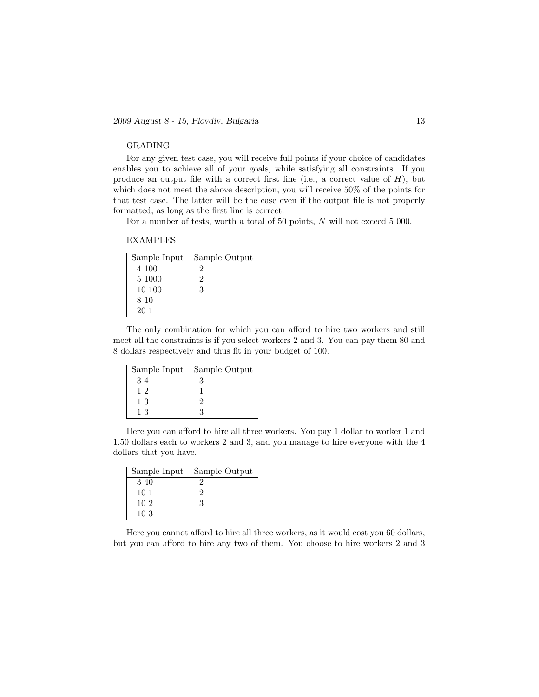#### GRADING

For any given test case, you will receive full points if your choice of candidates enables you to achieve all of your goals, while satisfying all constraints. If you produce an output file with a correct first line (i.e., a correct value of  $H$ ), but which does not meet the above description, you will receive 50% of the points for that test case. The latter will be the case even if the output file is not properly formatted, as long as the first line is correct.

For a number of tests, worth a total of 50 points, N will not exceed 5 000.

EXAMPLES

| Sample Input | Sample Output |
|--------------|---------------|
| 4 100        |               |
| 5 1000       | 2             |
| 10 100       | 3             |
| 8 10         |               |
| 20-1         |               |

The only combination for which you can afford to hire two workers and still meet all the constraints is if you select workers 2 and 3. You can pay them 80 and 8 dollars respectively and thus fit in your budget of 100.

| Sample Input | Sample Output |
|--------------|---------------|
| 34           |               |
| 12           |               |
| 13           |               |
| -2           |               |

Here you can afford to hire all three workers. You pay 1 dollar to worker 1 and 1.50 dollars each to workers 2 and 3, and you manage to hire everyone with the 4 dollars that you have.

| Sample Input    | Sample Output |
|-----------------|---------------|
| 3.40            |               |
| 10 <sub>1</sub> |               |
| 10 <sub>2</sub> | 3             |
| 10.3            |               |

Here you cannot afford to hire all three workers, as it would cost you 60 dollars, but you can afford to hire any two of them. You choose to hire workers 2 and 3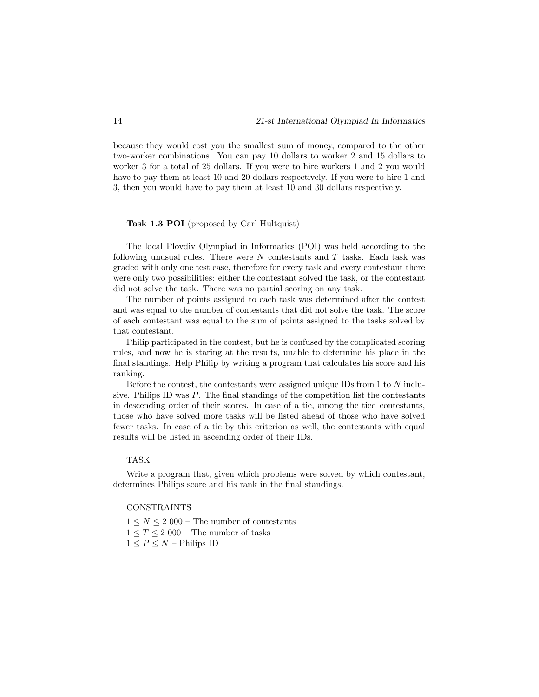because they would cost you the smallest sum of money, compared to the other two-worker combinations. You can pay 10 dollars to worker 2 and 15 dollars to worker 3 for a total of 25 dollars. If you were to hire workers 1 and 2 you would have to pay them at least 10 and 20 dollars respectively. If you were to hire 1 and 3, then you would have to pay them at least 10 and 30 dollars respectively.

#### Task 1.3 POI (proposed by Carl Hultquist)

The local Plovdiv Olympiad in Informatics (POI) was held according to the following unusual rules. There were  $N$  contestants and  $T$  tasks. Each task was graded with only one test case, therefore for every task and every contestant there were only two possibilities: either the contestant solved the task, or the contestant did not solve the task. There was no partial scoring on any task.

The number of points assigned to each task was determined after the contest and was equal to the number of contestants that did not solve the task. The score of each contestant was equal to the sum of points assigned to the tasks solved by that contestant.

Philip participated in the contest, but he is confused by the complicated scoring rules, and now he is staring at the results, unable to determine his place in the final standings. Help Philip by writing a program that calculates his score and his ranking.

Before the contest, the contestants were assigned unique IDs from 1 to N inclusive. Philips ID was  $P$ . The final standings of the competition list the contestants in descending order of their scores. In case of a tie, among the tied contestants, those who have solved more tasks will be listed ahead of those who have solved fewer tasks. In case of a tie by this criterion as well, the contestants with equal results will be listed in ascending order of their IDs.

#### TASK

Write a program that, given which problems were solved by which contestant, determines Philips score and his rank in the final standings.

#### CONSTRAINTS

 $1 \leq N \leq 2000$  – The number of contestants  $1 \leq T \leq 2000$  – The number of tasks  $1 \leq P \leq N$ – Philips ID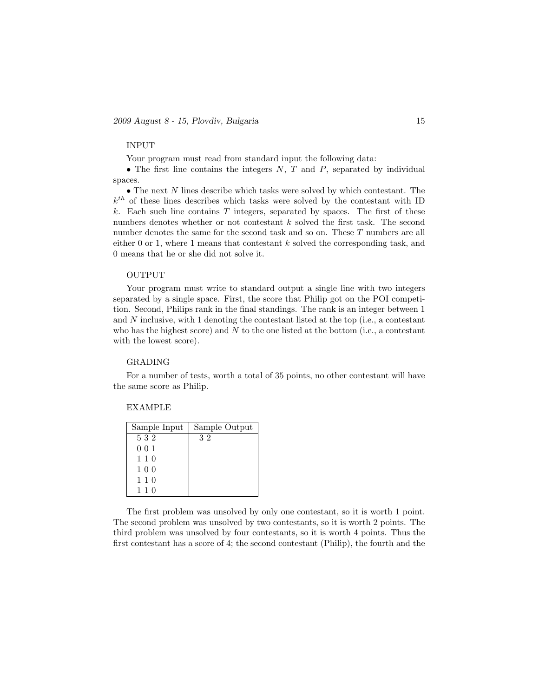## INPUT

Your program must read from standard input the following data:

• The first line contains the integers  $N$ ,  $T$  and  $P$ , separated by individual spaces.

• The next N lines describe which tasks were solved by which contestant. The  $k^{th}$  of these lines describes which tasks were solved by the contestant with ID k. Each such line contains  $T$  integers, separated by spaces. The first of these numbers denotes whether or not contestant  $k$  solved the first task. The second number denotes the same for the second task and so on. These T numbers are all either  $0$  or 1, where 1 means that contestant  $k$  solved the corresponding task, and 0 means that he or she did not solve it.

#### OUTPUT

Your program must write to standard output a single line with two integers separated by a single space. First, the score that Philip got on the POI competition. Second, Philips rank in the final standings. The rank is an integer between 1 and N inclusive, with 1 denoting the contestant listed at the top (i.e., a contestant who has the highest score) and  $N$  to the one listed at the bottom (i.e., a contestant with the lowest score).

#### GRADING

For a number of tests, worth a total of 35 points, no other contestant will have the same score as Philip.

| Sample Input | Sample Output  |
|--------------|----------------|
| 532          | 3 <sup>2</sup> |
| 001          |                |
| 110          |                |
| 100          |                |
| 110          |                |
| 110          |                |

The first problem was unsolved by only one contestant, so it is worth 1 point. The second problem was unsolved by two contestants, so it is worth 2 points. The third problem was unsolved by four contestants, so it is worth 4 points. Thus the first contestant has a score of 4; the second contestant (Philip), the fourth and the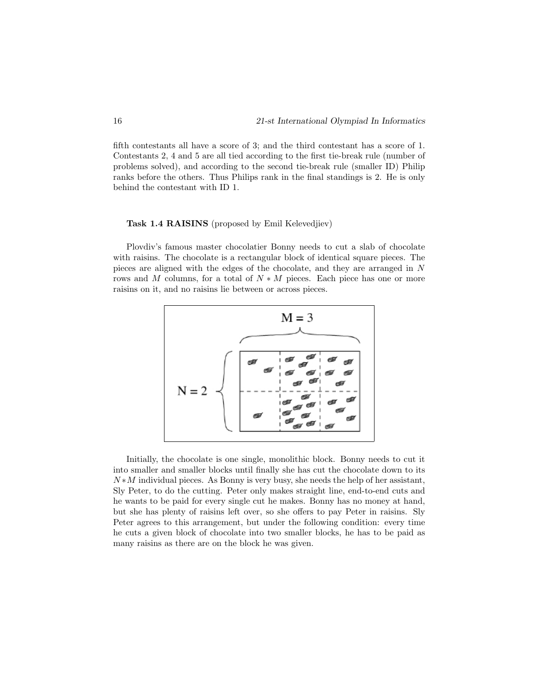fifth contestants all have a score of 3; and the third contestant has a score of 1. Contestants 2, 4 and 5 are all tied according to the first tie-break rule (number of problems solved), and according to the second tie-break rule (smaller ID) Philip ranks before the others. Thus Philips rank in the final standings is 2. He is only behind the contestant with ID 1.

## Task 1.4 RAISINS (proposed by Emil Kelevedjiev)

Plovdiv's famous master chocolatier Bonny needs to cut a slab of chocolate with raisins. The chocolate is a rectangular block of identical square pieces. The pieces are aligned with the edges of the chocolate, and they are arranged in N rows and M columns, for a total of  $N * M$  pieces. Each piece has one or more raisins on it, and no raisins lie between or across pieces.



Initially, the chocolate is one single, monolithic block. Bonny needs to cut it into smaller and smaller blocks until finally she has cut the chocolate down to its  $N*M$  individual pieces. As Bonny is very busy, she needs the help of her assistant, Sly Peter, to do the cutting. Peter only makes straight line, end-to-end cuts and he wants to be paid for every single cut he makes. Bonny has no money at hand, but she has plenty of raisins left over, so she offers to pay Peter in raisins. Sly Peter agrees to this arrangement, but under the following condition: every time he cuts a given block of chocolate into two smaller blocks, he has to be paid as many raisins as there are on the block he was given.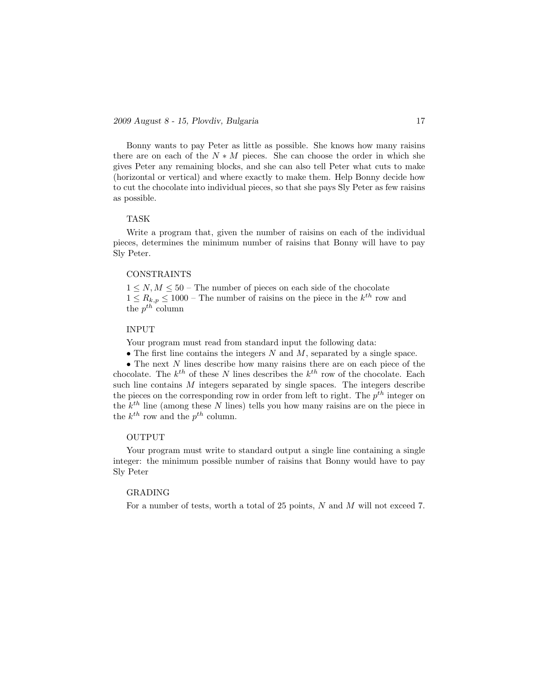Bonny wants to pay Peter as little as possible. She knows how many raisins there are on each of the  $N * M$  pieces. She can choose the order in which she gives Peter any remaining blocks, and she can also tell Peter what cuts to make (horizontal or vertical) and where exactly to make them. Help Bonny decide how to cut the chocolate into individual pieces, so that she pays Sly Peter as few raisins as possible.

#### TASK

Write a program that, given the number of raisins on each of the individual pieces, determines the minimum number of raisins that Bonny will have to pay Sly Peter.

#### CONSTRAINTS

 $1 \leq N, M \leq 50$  – The number of pieces on each side of the chocolate  $1 \leq R_{k,p} \leq 1000$  – The number of raisins on the piece in the  $k^{th}$  row and the  $p^{th}$  column

## INPUT

Your program must read from standard input the following data:

• The first line contains the integers  $N$  and  $M$ , separated by a single space.

 $\bullet$  The next N lines describe how many raisins there are on each piece of the chocolate. The  $k^{th}$  of these N lines describes the  $k^{th}$  row of the chocolate. Each such line contains  $M$  integers separated by single spaces. The integers describe the pieces on the corresponding row in order from left to right. The  $p^{th}$  integer on the  $k^{th}$  line (among these N lines) tells you how many raisins are on the piece in the  $k^{th}$  row and the  $p^{th}$  column.

#### OUTPUT

Your program must write to standard output a single line containing a single integer: the minimum possible number of raisins that Bonny would have to pay Sly Peter

## GRADING

For a number of tests, worth a total of 25 points, N and M will not exceed 7.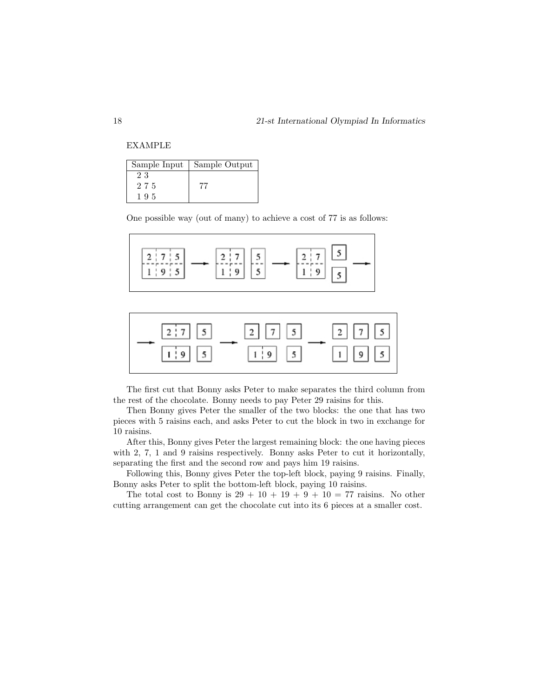EXAMPLE

| Sample Input | Sample Output |
|--------------|---------------|
| 23           |               |
| 275          |               |
| 195          |               |

One possible way (out of many) to achieve a cost of 77 is as follows:





The first cut that Bonny asks Peter to make separates the third column from the rest of the chocolate. Bonny needs to pay Peter 29 raisins for this.

Then Bonny gives Peter the smaller of the two blocks: the one that has two pieces with 5 raisins each, and asks Peter to cut the block in two in exchange for 10 raisins.

After this, Bonny gives Peter the largest remaining block: the one having pieces with 2, 7, 1 and 9 raisins respectively. Bonny asks Peter to cut it horizontally, separating the first and the second row and pays him 19 raisins.

Following this, Bonny gives Peter the top-left block, paying 9 raisins. Finally, Bonny asks Peter to split the bottom-left block, paying 10 raisins.

The total cost to Bonny is  $29 + 10 + 19 + 9 + 10 = 77$  raisins. No other cutting arrangement can get the chocolate cut into its 6 pieces at a smaller cost.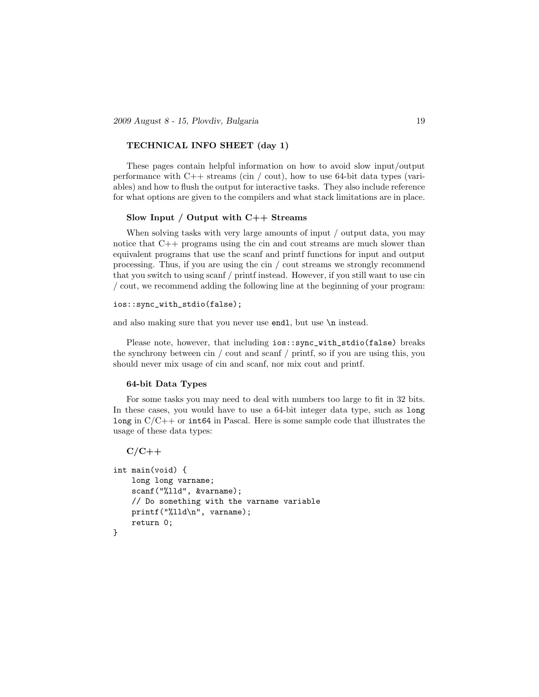2009 August 8 - 15, Plovdiv, Bulgaria 19

## TECHNICAL INFO SHEET (day 1)

These pages contain helpful information on how to avoid slow input/output performance with  $C++$  streams (cin / cout), how to use 64-bit data types (variables) and how to flush the output for interactive tasks. They also include reference for what options are given to the compilers and what stack limitations are in place.

#### Slow Input / Output with  $C++$  Streams

When solving tasks with very large amounts of input / output data, you may notice that C++ programs using the cin and cout streams are much slower than equivalent programs that use the scanf and printf functions for input and output processing. Thus, if you are using the cin / cout streams we strongly recommend that you switch to using scanf / printf instead. However, if you still want to use cin / cout, we recommend adding the following line at the beginning of your program:

## ios::sync\_with\_stdio(false);

and also making sure that you never use endl, but use  $\n\times$  instead.

Please note, however, that including ios::sync\_with\_stdio(false) breaks the synchrony between cin / cout and scanf / printf, so if you are using this, you should never mix usage of cin and scanf, nor mix cout and printf.

#### 64-bit Data Types

For some tasks you may need to deal with numbers too large to fit in 32 bits. In these cases, you would have to use a 64-bit integer data type, such as long long in  $C/C++$  or int64 in Pascal. Here is some sample code that illustrates the usage of these data types:

```
C/C++
```

```
int main(void) {
   long long varname;
   scanf("%lld", &varname);
   // Do something with the varname variable
   printf("%lld\n", varname);
   return 0;
}
```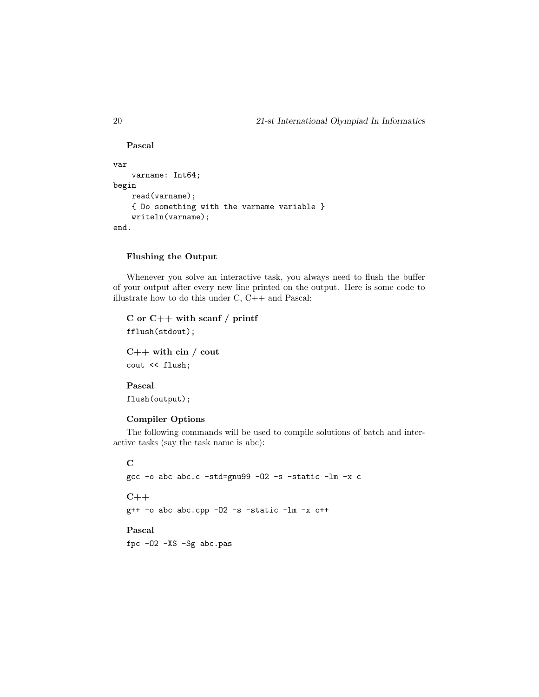Pascal

```
var
    varname: Int64;
begin
    read(varname);
    { Do something with the varname variable }
    writeln(varname);
end.
```
## Flushing the Output

Whenever you solve an interactive task, you always need to flush the buffer of your output after every new line printed on the output. Here is some code to illustrate how to do this under C, C++ and Pascal:

```
C or C++ with scanf / printf
fflush(stdout);
C++ with cin / cout
cout << flush;
Pascal
flush(output);
```
# Compiler Options

The following commands will be used to compile solutions of batch and interactive tasks (say the task name is abc):

#### C

gcc -o abc abc.c -std=gnu99 -O2 -s -static -lm -x c  $C++$  $g++$  -o abc abc.cpp -02 -s -static -lm -x c++ Pascal fpc -O2 -XS -Sg abc.pas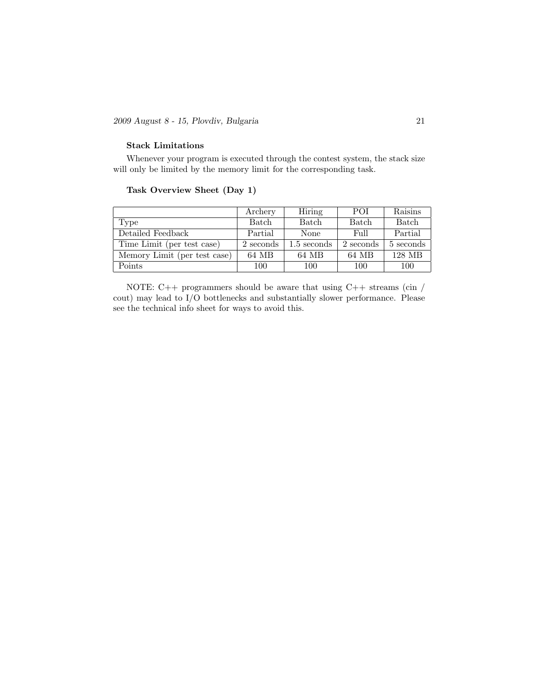2009 August 8 - 15, Plovdiv, Bulgaria 21

## Stack Limitations

Whenever your program is executed through the contest system, the stack size will only be limited by the memory limit for the corresponding task.

## Task Overview Sheet (Day 1)

|                              | Archery   | Hiring        | POI          | Raisins      |
|------------------------------|-----------|---------------|--------------|--------------|
| Type                         | Batch     | Batch         | <b>Batch</b> | <b>Batch</b> |
| Detailed Feedback            | Partial   | None          | Full         | Partial      |
| Time Limit (per test case)   | 2 seconds | $1.5$ seconds | 2 seconds    | 5 seconds    |
| Memory Limit (per test case) | 64 MB     | 64 MB         | 64 MB        | 128 MB       |
| Points                       | 100       | 100           | 100          | 100          |

NOTE: C++ programmers should be aware that using C++ streams (cin / cout) may lead to I/O bottlenecks and substantially slower performance. Please see the technical info sheet for ways to avoid this.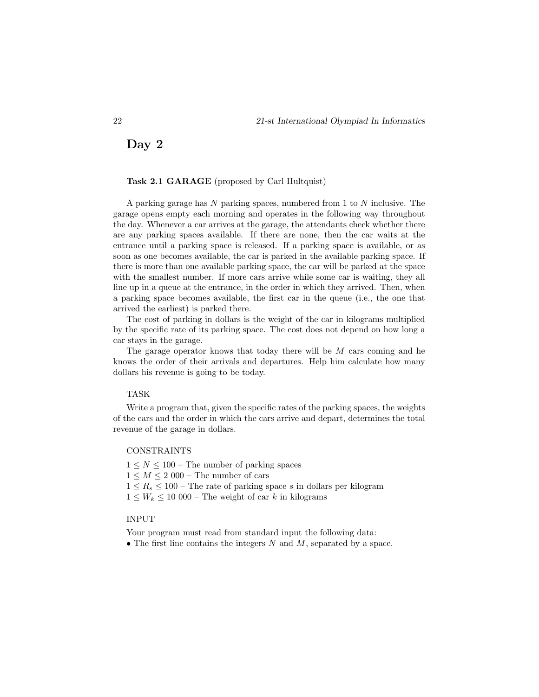Day 2

Task 2.1 GARAGE (proposed by Carl Hultquist)

A parking garage has N parking spaces, numbered from 1 to N inclusive. The garage opens empty each morning and operates in the following way throughout the day. Whenever a car arrives at the garage, the attendants check whether there are any parking spaces available. If there are none, then the car waits at the entrance until a parking space is released. If a parking space is available, or as soon as one becomes available, the car is parked in the available parking space. If there is more than one available parking space, the car will be parked at the space with the smallest number. If more cars arrive while some car is waiting, they all line up in a queue at the entrance, in the order in which they arrived. Then, when a parking space becomes available, the first car in the queue (i.e., the one that arrived the earliest) is parked there.

The cost of parking in dollars is the weight of the car in kilograms multiplied by the specific rate of its parking space. The cost does not depend on how long a car stays in the garage.

The garage operator knows that today there will be  $M$  cars coming and he knows the order of their arrivals and departures. Help him calculate how many dollars his revenue is going to be today.

## TASK

Write a program that, given the specific rates of the parking spaces, the weights of the cars and the order in which the cars arrive and depart, determines the total revenue of the garage in dollars.

#### CONSTRAINTS

 $1 \leq N \leq 100$  – The number of parking spaces  $1 \leq M \leq 2000$  – The number of cars  $1 \leq R_s \leq 100$  – The rate of parking space s in dollars per kilogram  $1 \leq W_k \leq 10\,000$  – The weight of car k in kilograms

### INPUT

Your program must read from standard input the following data:

• The first line contains the integers  $N$  and  $M$ , separated by a space.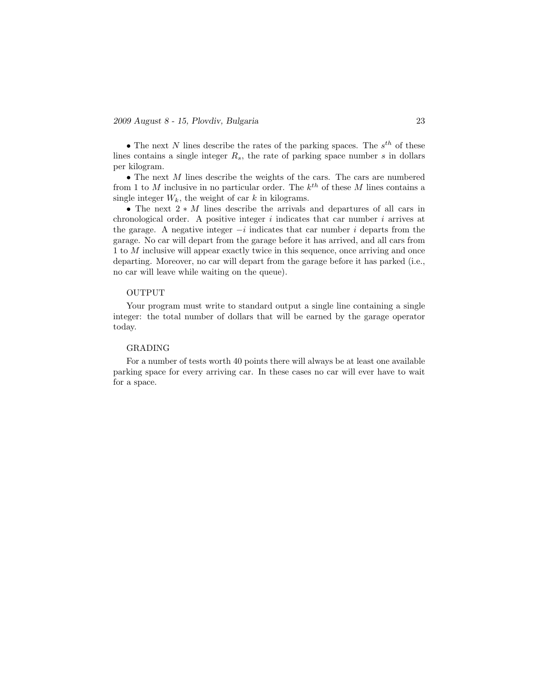• The next N lines describe the rates of the parking spaces. The  $s^{th}$  of these lines contains a single integer  $R_s$ , the rate of parking space number s in dollars per kilogram.

 $\bullet$  The next  $M$  lines describe the weights of the cars. The cars are numbered from 1 to M inclusive in no particular order. The  $k^{th}$  of these M lines contains a single integer  $W_k$ , the weight of car k in kilograms.

• The next 2 ∗ M lines describe the arrivals and departures of all cars in chronological order. A positive integer  $i$  indicates that car number  $i$  arrives at the garage. A negative integer  $-i$  indicates that car number i departs from the garage. No car will depart from the garage before it has arrived, and all cars from 1 to M inclusive will appear exactly twice in this sequence, once arriving and once departing. Moreover, no car will depart from the garage before it has parked (i.e., no car will leave while waiting on the queue).

#### OUTPUT

Your program must write to standard output a single line containing a single integer: the total number of dollars that will be earned by the garage operator today.

#### GRADING

For a number of tests worth 40 points there will always be at least one available parking space for every arriving car. In these cases no car will ever have to wait for a space.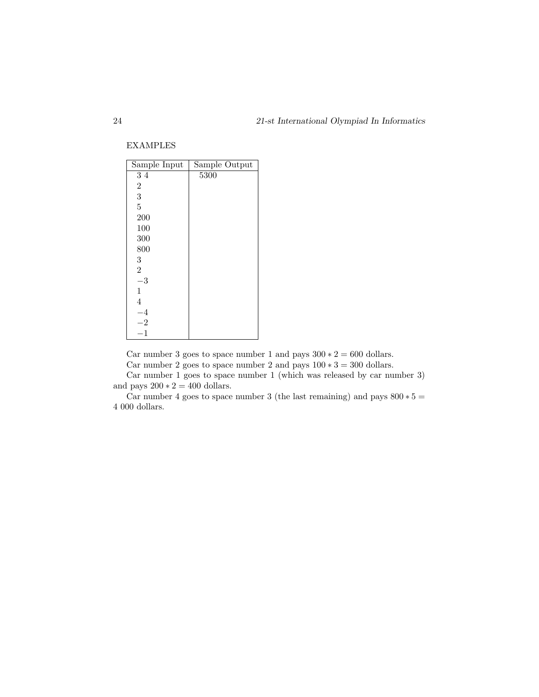## EXAMPLES

| Sample Input     | Sample Output |
|------------------|---------------|
| 34               | 5300          |
| $\overline{2}$   |               |
| 3                |               |
| $\overline{5}$   |               |
| 200              |               |
| 100              |               |
| 300              |               |
| 800              |               |
| $\boldsymbol{3}$ |               |
| $\overline{2}$   |               |
| $-3$             |               |
| $\mathbf{1}$     |               |
| $\overline{4}$   |               |
| $-4$             |               |
| $-2$             |               |
| $-1$             |               |

Car number 3 goes to space number 1 and pays  $300 * 2 = 600$  dollars. Car number 2 goes to space number 2 and pays  $100 * 3 = 300$  dollars. Car number 1 goes to space number 1 (which was released by car number 3) and pays  $200 * 2 = 400$  dollars.

Car number 4 goes to space number 3 (the last remaining) and pays  $800 * 5 =$ 4 000 dollars.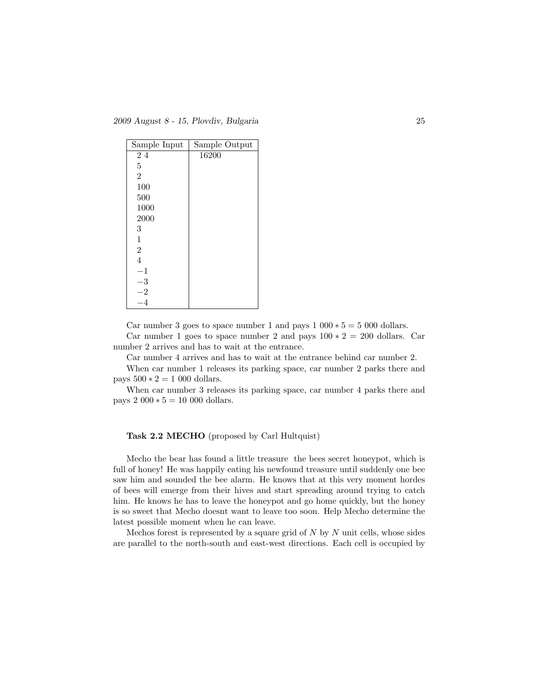2009 August 8 - 15, Plovdiv, Bulgaria 25

| Sample Input   | Sample Output |
|----------------|---------------|
| 24             | 16200         |
| 5              |               |
| $\overline{2}$ |               |
| 100            |               |
| 500            |               |
| 1000           |               |
| 2000           |               |
| 3              |               |
| $\mathbf{1}$   |               |
| $\overline{2}$ |               |
| $\overline{4}$ |               |
| $-1$           |               |
| $-3\,$         |               |
| $-2\,$         |               |
| $-4$           |               |

Car number 3 goes to space number 1 and pays  $1\,000 * 5 = 5\,000$  dollars.

Car number 1 goes to space number 2 and pays  $100 * 2 = 200$  dollars. Car number 2 arrives and has to wait at the entrance.

Car number 4 arrives and has to wait at the entrance behind car number 2.

When car number 1 releases its parking space, car number 2 parks there and pays  $500 * 2 = 1000$  dollars.

When car number 3 releases its parking space, car number 4 parks there and pays  $2\ 000 * 5 = 10\ 000\ dollars.$ 

#### Task 2.2 MECHO (proposed by Carl Hultquist)

Mecho the bear has found a little treasure the bees secret honeypot, which is full of honey! He was happily eating his newfound treasure until suddenly one bee saw him and sounded the bee alarm. He knows that at this very moment hordes of bees will emerge from their hives and start spreading around trying to catch him. He knows he has to leave the honeypot and go home quickly, but the honey is so sweet that Mecho doesnt want to leave too soon. Help Mecho determine the latest possible moment when he can leave.

Mechos forest is represented by a square grid of  $N$  by  $N$  unit cells, whose sides are parallel to the north-south and east-west directions. Each cell is occupied by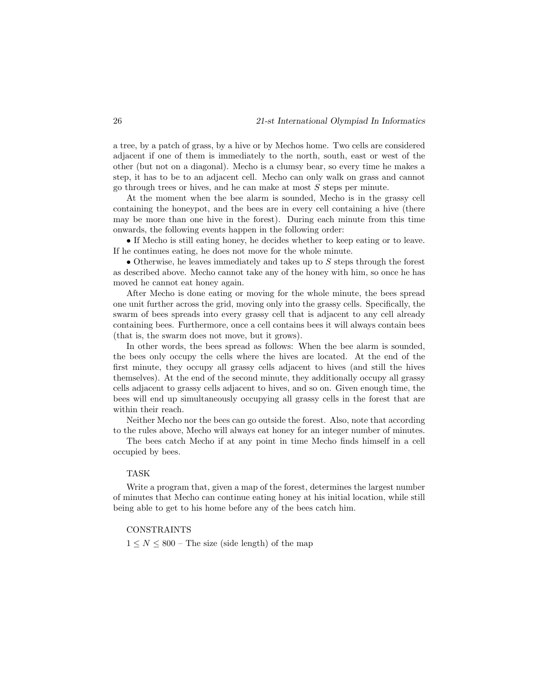a tree, by a patch of grass, by a hive or by Mechos home. Two cells are considered adjacent if one of them is immediately to the north, south, east or west of the other (but not on a diagonal). Mecho is a clumsy bear, so every time he makes a step, it has to be to an adjacent cell. Mecho can only walk on grass and cannot go through trees or hives, and he can make at most S steps per minute.

At the moment when the bee alarm is sounded, Mecho is in the grassy cell containing the honeypot, and the bees are in every cell containing a hive (there may be more than one hive in the forest). During each minute from this time onwards, the following events happen in the following order:

• If Mecho is still eating honey, he decides whether to keep eating or to leave. If he continues eating, he does not move for the whole minute.

• Otherwise, he leaves immediately and takes up to  $S$  steps through the forest as described above. Mecho cannot take any of the honey with him, so once he has moved he cannot eat honey again.

After Mecho is done eating or moving for the whole minute, the bees spread one unit further across the grid, moving only into the grassy cells. Specifically, the swarm of bees spreads into every grassy cell that is adjacent to any cell already containing bees. Furthermore, once a cell contains bees it will always contain bees (that is, the swarm does not move, but it grows).

In other words, the bees spread as follows: When the bee alarm is sounded, the bees only occupy the cells where the hives are located. At the end of the first minute, they occupy all grassy cells adjacent to hives (and still the hives themselves). At the end of the second minute, they additionally occupy all grassy cells adjacent to grassy cells adjacent to hives, and so on. Given enough time, the bees will end up simultaneously occupying all grassy cells in the forest that are within their reach.

Neither Mecho nor the bees can go outside the forest. Also, note that according to the rules above, Mecho will always eat honey for an integer number of minutes.

The bees catch Mecho if at any point in time Mecho finds himself in a cell occupied by bees.

#### TASK

Write a program that, given a map of the forest, determines the largest number of minutes that Mecho can continue eating honey at his initial location, while still being able to get to his home before any of the bees catch him.

### CONSTRAINTS

 $1 \leq N \leq 800$  – The size (side length) of the map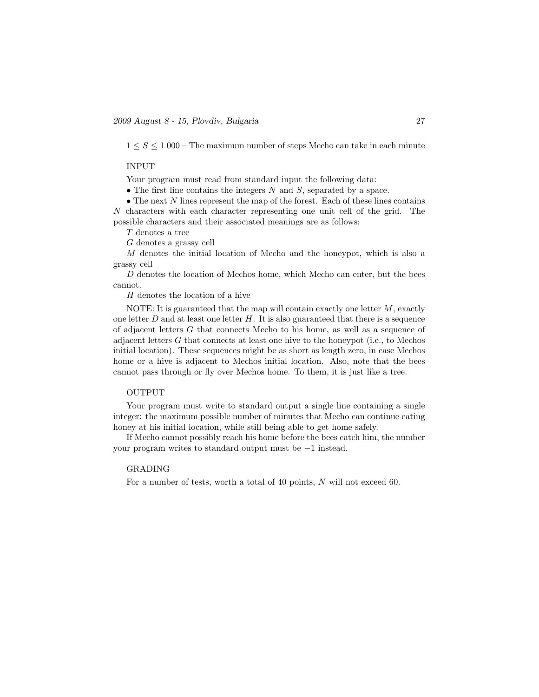$1 \leq S \leq 1000$  – The maximum number of steps Mecho can take in each minute

#### INPUT

Your program must read from standard input the following data:

• The first line contains the integers  $N$  and  $S$ , separated by a space.

• The next N lines represent the map of the forest. Each of these lines contains N characters with each character representing one unit cell of the grid. The possible characters and their associated meanings are as follows:

T denotes a tree

G denotes a grassy cell

M denotes the initial location of Mecho and the honeypot, which is also a grassy cell

D denotes the location of Mechos home, which Mecho can enter, but the bees cannot.

H denotes the location of a hive

NOTE: It is guaranteed that the map will contain exactly one letter  $M$ , exactly one letter  $D$  and at least one letter  $H$ . It is also guaranteed that there is a sequence of adjacent letters G that connects Mecho to his home, as well as a sequence of adjacent letters G that connects at least one hive to the honeypot (i.e., to Mechos initial location). These sequences might be as short as length zero, in case Mechos home or a hive is adjacent to Mechos initial location. Also, note that the bees cannot pass through or fly over Mechos home. To them, it is just like a tree.

#### OUTPUT

Your program must write to standard output a single line containing a single integer: the maximum possible number of minutes that Mecho can continue eating honey at his initial location, while still being able to get home safely.

If Mecho cannot possibly reach his home before the bees catch him, the number your program writes to standard output must be −1 instead.

#### GRADING

For a number of tests, worth a total of 40 points, N will not exceed 60.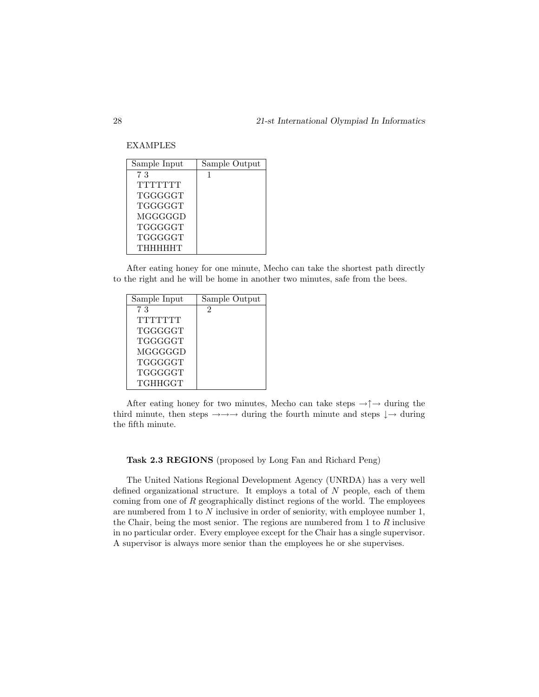EXAMPLES

| Sample Input | Sample Output |
|--------------|---------------|
| 73           |               |
| TTTTTTT      |               |
| TGGGGGT      |               |
| TGGGGGT      |               |
| MGGGGGD      |               |
| TGGGGGT      |               |
| TGGGGGT      |               |
| THHHHT       |               |

After eating honey for one minute, Mecho can take the shortest path directly to the right and he will be home in another two minutes, safe from the bees.

| Sample Input | Sample Output |
|--------------|---------------|
| 73           | 2             |
| TTTTTTT      |               |
| TGGGGGT      |               |
| TGGGGGT      |               |
| MGGGGGD      |               |
| TGGGGGT      |               |
| TGGGGGT      |               |
| TGHHGGT      |               |

After eating honey for two minutes, Mecho can take steps  $\rightarrow \uparrow \rightarrow$  during the third minute, then steps  $\rightarrow \rightarrow \rightarrow$  during the fourth minute and steps  $\downarrow \rightarrow$  during the fifth minute.

Task 2.3 REGIONS (proposed by Long Fan and Richard Peng)

The United Nations Regional Development Agency (UNRDA) has a very well defined organizational structure. It employs a total of  $N$  people, each of them coming from one of  $R$  geographically distinct regions of the world. The employees are numbered from 1 to  $N$  inclusive in order of seniority, with employee number 1, the Chair, being the most senior. The regions are numbered from 1 to  $R$  inclusive in no particular order. Every employee except for the Chair has a single supervisor. A supervisor is always more senior than the employees he or she supervises.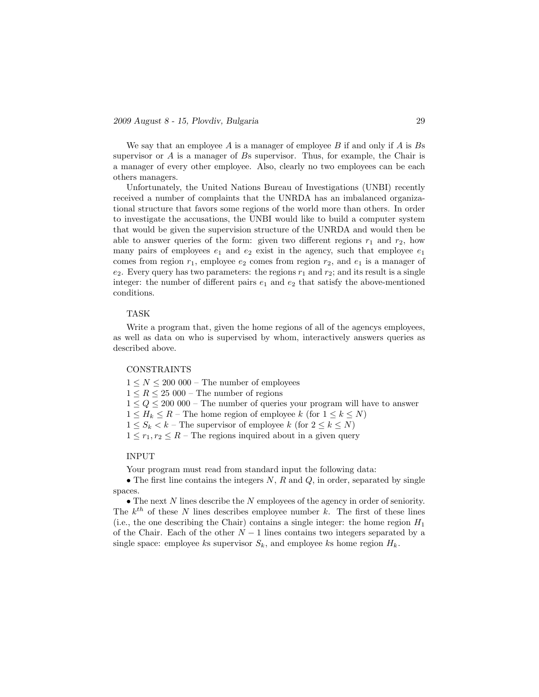We say that an employee A is a manager of employee B if and only if A is Bs supervisor or  $A$  is a manager of  $B$ s supervisor. Thus, for example, the Chair is a manager of every other employee. Also, clearly no two employees can be each others managers.

Unfortunately, the United Nations Bureau of Investigations (UNBI) recently received a number of complaints that the UNRDA has an imbalanced organizational structure that favors some regions of the world more than others. In order to investigate the accusations, the UNBI would like to build a computer system that would be given the supervision structure of the UNRDA and would then be able to answer queries of the form: given two different regions  $r_1$  and  $r_2$ , how many pairs of employees  $e_1$  and  $e_2$  exist in the agency, such that employee  $e_1$ comes from region  $r_1$ , employee  $e_2$  comes from region  $r_2$ , and  $e_1$  is a manager of  $e_2$ . Every query has two parameters: the regions  $r_1$  and  $r_2$ ; and its result is a single integer: the number of different pairs  $e_1$  and  $e_2$  that satisfy the above-mentioned conditions.

## TASK

Write a program that, given the home regions of all of the agencys employees, as well as data on who is supervised by whom, interactively answers queries as described above.

#### CONSTRAINTS

 $1 \leq N \leq 200\,000$  – The number of employees

 $1 \leq R \leq 25000$  – The number of regions

 $1 \le Q \le 200\,000$  – The number of queries your program will have to answer

 $1 \leq H_k \leq R$  – The home region of employee k (for  $1 \leq k \leq N$ )

 $1 \leq S_k < k$  – The supervisor of employee k (for  $2 \leq k \leq N$ )

 $1 \leq r_1, r_2 \leq R$  – The regions inquired about in a given query

#### INPUT

Your program must read from standard input the following data:

• The first line contains the integers  $N$ ,  $R$  and  $Q$ , in order, separated by single spaces.

 $\bullet$  The next N lines describe the N employees of the agency in order of seniority. The  $k^{th}$  of these N lines describes employee number k. The first of these lines (i.e., the one describing the Chair) contains a single integer: the home region  $H_1$ of the Chair. Each of the other  $N-1$  lines contains two integers separated by a single space: employee ks supervisor  $S_k$ , and employee ks home region  $H_k$ .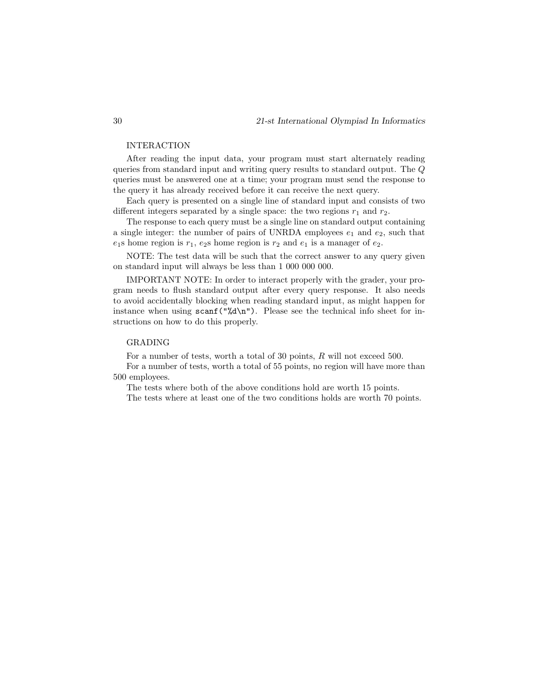## INTERACTION

After reading the input data, your program must start alternately reading queries from standard input and writing query results to standard output. The Q queries must be answered one at a time; your program must send the response to the query it has already received before it can receive the next query.

Each query is presented on a single line of standard input and consists of two different integers separated by a single space: the two regions  $r_1$  and  $r_2$ .

The response to each query must be a single line on standard output containing a single integer: the number of pairs of UNRDA employees  $e_1$  and  $e_2$ , such that  $e_1$ s home region is  $r_1$ ,  $e_2$ s home region is  $r_2$  and  $e_1$  is a manager of  $e_2$ .

NOTE: The test data will be such that the correct answer to any query given on standard input will always be less than 1 000 000 000.

IMPORTANT NOTE: In order to interact properly with the grader, your program needs to flush standard output after every query response. It also needs to avoid accidentally blocking when reading standard input, as might happen for instance when using  $scan'$ . Please see the technical info sheet for instructions on how to do this properly.

#### GRADING

For a number of tests, worth a total of 30 points, R will not exceed 500.

For a number of tests, worth a total of 55 points, no region will have more than 500 employees.

The tests where both of the above conditions hold are worth 15 points.

The tests where at least one of the two conditions holds are worth 70 points.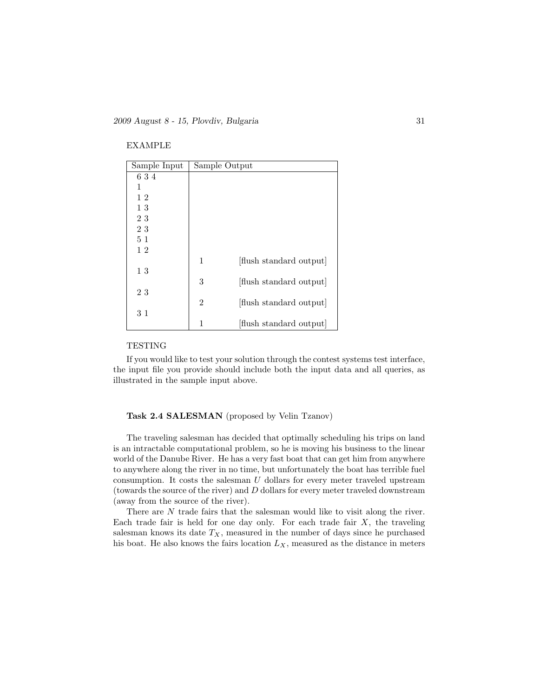#### EXAMPLE

| Sample Input   |                | Sample Output         |
|----------------|----------------|-----------------------|
| 634            |                |                       |
| 1              |                |                       |
| 12             |                |                       |
| 13             |                |                       |
| 23             |                |                       |
| 23             |                |                       |
| 5 <sub>1</sub> |                |                       |
| 12             |                |                       |
|                | $\mathbf{1}$   | flush standard output |
| 13             |                |                       |
|                | 3              | flush standard output |
| 23             |                |                       |
|                | $\overline{2}$ | flush standard output |
| 31             |                |                       |
|                | 1              | flush standard output |

#### TESTING

If you would like to test your solution through the contest systems test interface, the input file you provide should include both the input data and all queries, as illustrated in the sample input above.

## Task 2.4 SALESMAN (proposed by Velin Tzanov)

The traveling salesman has decided that optimally scheduling his trips on land is an intractable computational problem, so he is moving his business to the linear world of the Danube River. He has a very fast boat that can get him from anywhere to anywhere along the river in no time, but unfortunately the boat has terrible fuel consumption. It costs the salesman U dollars for every meter traveled upstream (towards the source of the river) and D dollars for every meter traveled downstream (away from the source of the river).

There are N trade fairs that the salesman would like to visit along the river. Each trade fair is held for one day only. For each trade fair  $X$ , the traveling salesman knows its date  $T_X$ , measured in the number of days since he purchased his boat. He also knows the fairs location  $L_X$ , measured as the distance in meters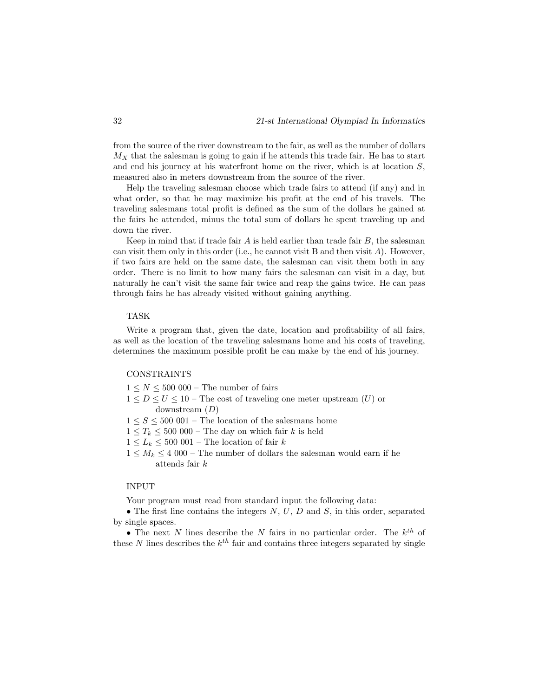from the source of the river downstream to the fair, as well as the number of dollars  $M_X$  that the salesman is going to gain if he attends this trade fair. He has to start and end his journey at his waterfront home on the river, which is at location  $S$ , measured also in meters downstream from the source of the river.

Help the traveling salesman choose which trade fairs to attend (if any) and in what order, so that he may maximize his profit at the end of his travels. The traveling salesmans total profit is defined as the sum of the dollars he gained at the fairs he attended, minus the total sum of dollars he spent traveling up and down the river.

Keep in mind that if trade fair  $A$  is held earlier than trade fair  $B$ , the salesman can visit them only in this order (i.e., he cannot visit B and then visit  $A$ ). However, if two fairs are held on the same date, the salesman can visit them both in any order. There is no limit to how many fairs the salesman can visit in a day, but naturally he can't visit the same fair twice and reap the gains twice. He can pass through fairs he has already visited without gaining anything.

#### TASK

Write a program that, given the date, location and profitability of all fairs, as well as the location of the traveling salesmans home and his costs of traveling, determines the maximum possible profit he can make by the end of his journey.

#### CONSTRAINTS

- $1 \leq D \leq U \leq 10$  The cost of traveling one meter upstream (U) or downstream (D)
- $1 \le S \le 500001$  The location of the salesmans home
- $1 \leq T_k \leq 500\,000$  The day on which fair k is held
- $1 \leq L_k \leq 500\,001$  The location of fair k
- $1 \leq M_k \leq 4$  000 The number of dollars the salesman would earn if he attends fair k

#### INPUT

Your program must read from standard input the following data:

• The first line contains the integers  $N, U, D$  and  $S$ , in this order, separated by single spaces.

• The next N lines describe the N fairs in no particular order. The  $k^{th}$  of these N lines describes the  $k^{th}$  fair and contains three integers separated by single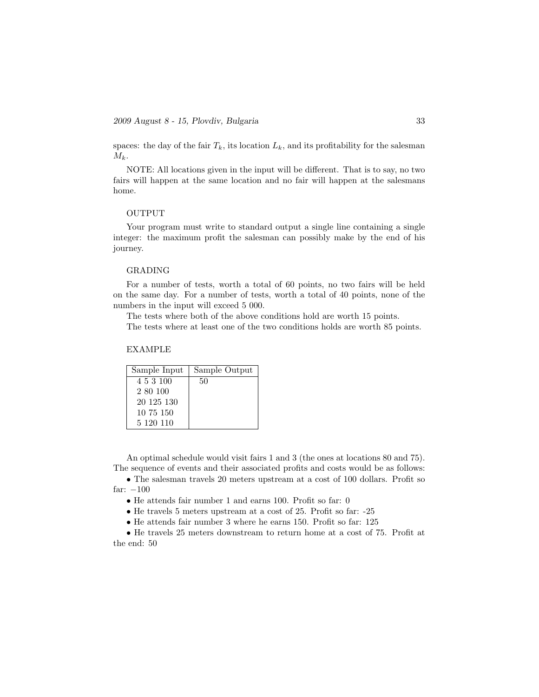spaces: the day of the fair  $T_k$ , its location  $L_k$ , and its profitability for the salesman  $M_k$ .

NOTE: All locations given in the input will be different. That is to say, no two fairs will happen at the same location and no fair will happen at the salesmans home.

#### OUTPUT

Your program must write to standard output a single line containing a single integer: the maximum profit the salesman can possibly make by the end of his journey.

#### GRADING

For a number of tests, worth a total of 60 points, no two fairs will be held on the same day. For a number of tests, worth a total of 40 points, none of the numbers in the input will exceed 5 000.

The tests where both of the above conditions hold are worth 15 points.

The tests where at least one of the two conditions holds are worth 85 points.

#### EXAMPLE

| Sample Input | Sample Output |
|--------------|---------------|
| 4 5 3 100    | 50            |
| 2 80 100     |               |
| 20 125 130   |               |
| 10 75 150    |               |
| 5 120 110    |               |

An optimal schedule would visit fairs 1 and 3 (the ones at locations 80 and 75). The sequence of events and their associated profits and costs would be as follows:

• The salesman travels 20 meters upstream at a cost of 100 dollars. Profit so far:  $-100$ 

• He attends fair number 1 and earns 100. Profit so far: 0

• He travels 5 meters upstream at a cost of 25. Profit so far: -25

• He attends fair number 3 where he earns 150. Profit so far: 125

• He travels 25 meters downstream to return home at a cost of 75. Profit at the end: 50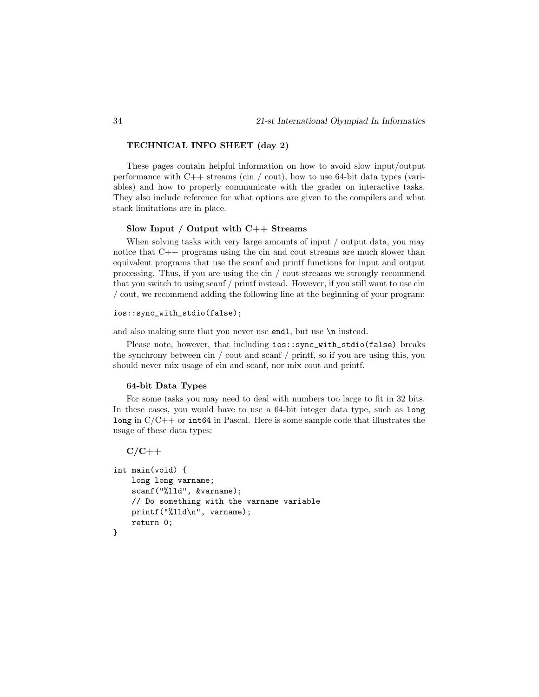#### TECHNICAL INFO SHEET (day 2)

These pages contain helpful information on how to avoid slow input/output performance with  $C++$  streams (cin / cout), how to use 64-bit data types (variables) and how to properly communicate with the grader on interactive tasks. They also include reference for what options are given to the compilers and what stack limitations are in place.

#### Slow Input / Output with  $C++$  Streams

When solving tasks with very large amounts of input / output data, you may notice that C++ programs using the cin and cout streams are much slower than equivalent programs that use the scanf and printf functions for input and output processing. Thus, if you are using the cin / cout streams we strongly recommend that you switch to using scanf / printf instead. However, if you still want to use cin / cout, we recommend adding the following line at the beginning of your program:

#### ios::sync\_with\_stdio(false);

and also making sure that you never use endl, but use  $\n\times$  instead.

Please note, however, that including  $ios::sync\_with\_stdio(false)$  breaks the synchrony between cin / cout and scanf / printf, so if you are using this, you should never mix usage of cin and scanf, nor mix cout and printf.

#### 64-bit Data Types

For some tasks you may need to deal with numbers too large to fit in 32 bits. In these cases, you would have to use a 64-bit integer data type, such as long long in  $C/C++$  or int64 in Pascal. Here is some sample code that illustrates the usage of these data types:

```
C/C++
```

```
int main(void) {
   long long varname;
   scanf("%lld", &varname);
   // Do something with the varname variable
   printf("%lld\n", varname);
   return 0;
}
```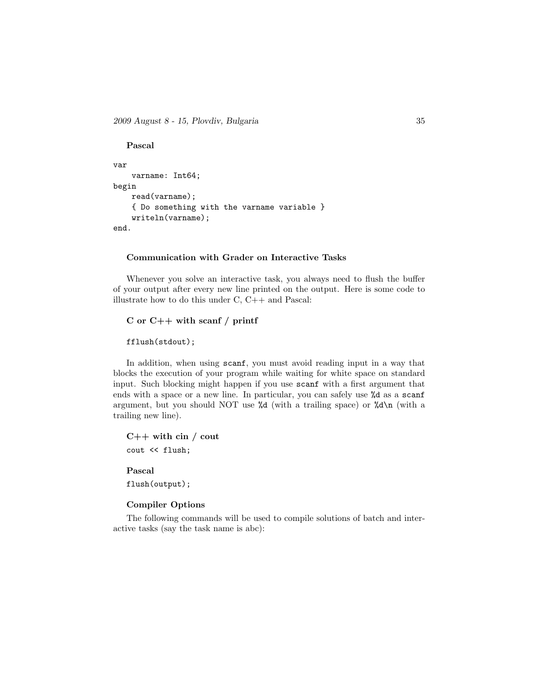2009 August 8 - 15, Plovdiv, Bulgaria 35

#### Pascal

```
var
    varname: Int64;
begin
    read(varname);
    { Do something with the varname variable }
    writeln(varname);
end.
```
#### Communication with Grader on Interactive Tasks

Whenever you solve an interactive task, you always need to flush the buffer of your output after every new line printed on the output. Here is some code to illustrate how to do this under C, C++ and Pascal:

## C or  $C++$  with scanf / printf

fflush(stdout);

In addition, when using scanf, you must avoid reading input in a way that blocks the execution of your program while waiting for white space on standard input. Such blocking might happen if you use scanf with a first argument that ends with a space or a new line. In particular, you can safely use %d as a scanf argument, but you should NOT use  $\%d$  (with a trailing space) or  $\%d\n\infty$  (with a trailing new line).

```
C++ with cin / cout
cout << flush;
```
#### Pascal

flush(output);

#### Compiler Options

The following commands will be used to compile solutions of batch and interactive tasks (say the task name is abc):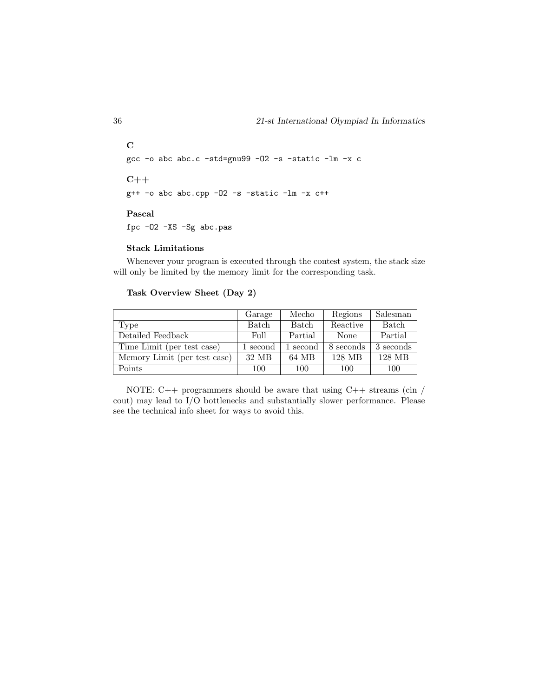```
C
gcc -o abc abc.c -std=gnu99 -O2 -s -static -lm -x c
C++g++ -o abc abc.cpp -O2 -s -static -lm -x c++
Pascal
```
fpc -O2 -XS -Sg abc.pas

## Stack Limitations

Whenever your program is executed through the contest system, the stack size will only be limited by the memory limit for the corresponding task.

#### Task Overview Sheet (Day 2)

|                              | Garage   | Mecho    | Regions                   | Salesman     |
|------------------------------|----------|----------|---------------------------|--------------|
| Type                         | Batch    | Batch    | Reactive                  | <b>Batch</b> |
| Detailed Feedback            | Full     | Partial  | None                      | Partial      |
| Time Limit (per test case)   | 1 second | 1 second | 8 seconds                 | 3 seconds    |
| Memory Limit (per test case) | 32 MB    | 64 MB    | $128 \text{ }\mathrm{MB}$ | 128 MB       |
| Points                       | 100      | 100      | 100                       | 100          |

NOTE:  $C++$  programmers should be aware that using  $C++$  streams (cin / cout) may lead to I/O bottlenecks and substantially slower performance. Please see the technical info sheet for ways to avoid this.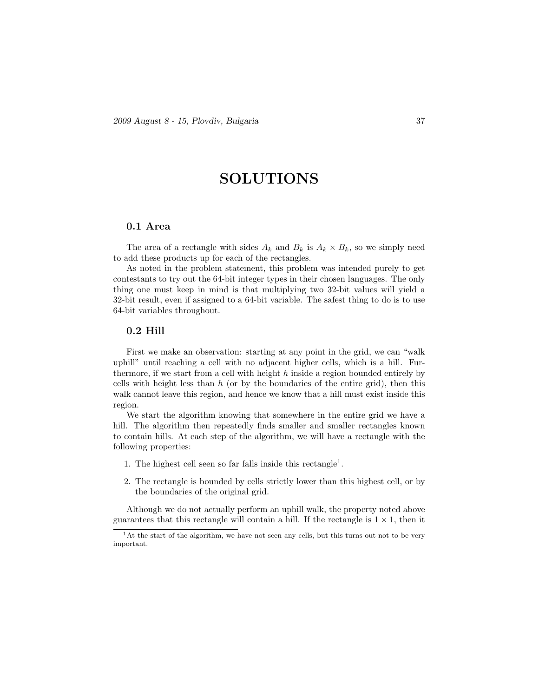# SOLUTIONS

## 0.1 Area

The area of a rectangle with sides  $A_k$  and  $B_k$  is  $A_k \times B_k$ , so we simply need to add these products up for each of the rectangles.

As noted in the problem statement, this problem was intended purely to get contestants to try out the 64-bit integer types in their chosen languages. The only thing one must keep in mind is that multiplying two 32-bit values will yield a 32-bit result, even if assigned to a 64-bit variable. The safest thing to do is to use 64-bit variables throughout.

## 0.2 Hill

First we make an observation: starting at any point in the grid, we can "walk uphill" until reaching a cell with no adjacent higher cells, which is a hill. Furthermore, if we start from a cell with height  $h$  inside a region bounded entirely by cells with height less than  $h$  (or by the boundaries of the entire grid), then this walk cannot leave this region, and hence we know that a hill must exist inside this region.

We start the algorithm knowing that somewhere in the entire grid we have a hill. The algorithm then repeatedly finds smaller and smaller rectangles known to contain hills. At each step of the algorithm, we will have a rectangle with the following properties:

- 1. The highest cell seen so far falls inside this rectangle<sup>1</sup>.
- 2. The rectangle is bounded by cells strictly lower than this highest cell, or by the boundaries of the original grid.

Although we do not actually perform an uphill walk, the property noted above guarantees that this rectangle will contain a hill. If the rectangle is  $1 \times 1$ , then it

<sup>&</sup>lt;sup>1</sup>At the start of the algorithm, we have not seen any cells, but this turns out not to be very important.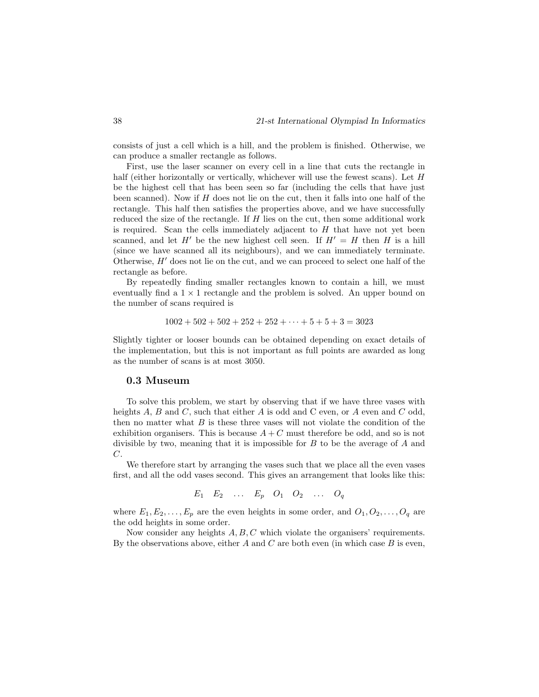consists of just a cell which is a hill, and the problem is finished. Otherwise, we can produce a smaller rectangle as follows.

First, use the laser scanner on every cell in a line that cuts the rectangle in half (either horizontally or vertically, whichever will use the fewest scans). Let H be the highest cell that has been seen so far (including the cells that have just been scanned). Now if  $H$  does not lie on the cut, then it falls into one half of the rectangle. This half then satisfies the properties above, and we have successfully reduced the size of the rectangle. If  $H$  lies on the cut, then some additional work is required. Scan the cells immediately adjacent to  $H$  that have not yet been scanned, and let H' be the new highest cell seen. If  $H' = H$  then H is a hill (since we have scanned all its neighbours), and we can immediately terminate. Otherwise,  $H'$  does not lie on the cut, and we can proceed to select one half of the rectangle as before.

By repeatedly finding smaller rectangles known to contain a hill, we must eventually find a  $1 \times 1$  rectangle and the problem is solved. An upper bound on the number of scans required is

$$
1002 + 502 + 502 + 252 + 252 + \dots + 5 + 5 + 3 = 3023
$$

Slightly tighter or looser bounds can be obtained depending on exact details of the implementation, but this is not important as full points are awarded as long as the number of scans is at most 3050.

#### 0.3 Museum

To solve this problem, we start by observing that if we have three vases with heights  $A, B$  and  $C$ , such that either  $A$  is odd and  $C$  even, or  $A$  even and  $C$  odd, then no matter what  $B$  is these three vases will not violate the condition of the exhibition organisers. This is because  $A + C$  must therefore be odd, and so is not divisible by two, meaning that it is impossible for  $B$  to be the average of  $A$  and  $C$ .

We therefore start by arranging the vases such that we place all the even vases first, and all the odd vases second. This gives an arrangement that looks like this:

$$
E_1 \quad E_2 \quad \ldots \quad E_p \quad O_1 \quad O_2 \quad \ldots \quad O_q
$$

where  $E_1, E_2, \ldots, E_p$  are the even heights in some order, and  $O_1, O_2, \ldots, O_q$  are the odd heights in some order.

Now consider any heights  $A, B, C$  which violate the organisers' requirements. By the observations above, either  $A$  and  $C$  are both even (in which case  $B$  is even,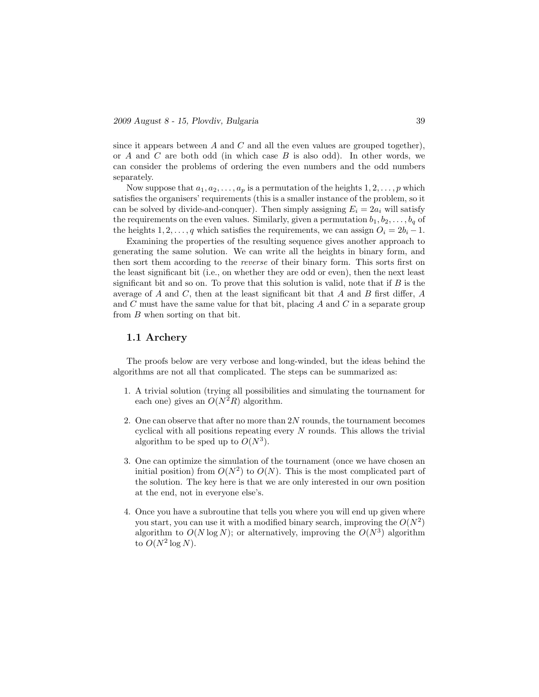since it appears between  $A$  and  $C$  and all the even values are grouped together), or  $A$  and  $C$  are both odd (in which case  $B$  is also odd). In other words, we can consider the problems of ordering the even numbers and the odd numbers separately.

Now suppose that  $a_1, a_2, \ldots, a_p$  is a permutation of the heights  $1, 2, \ldots, p$  which satisfies the organisers' requirements (this is a smaller instance of the problem, so it can be solved by divide-and-conquer). Then simply assigning  $E_i = 2a_i$  will satisfy the requirements on the even values. Similarly, given a permutation  $b_1, b_2, \ldots, b_q$  of the heights  $1, 2, \ldots, q$  which satisfies the requirements, we can assign  $O_i = 2b_i - 1$ .

Examining the properties of the resulting sequence gives another approach to generating the same solution. We can write all the heights in binary form, and then sort them according to the reverse of their binary form. This sorts first on the least significant bit (i.e., on whether they are odd or even), then the next least significant bit and so on. To prove that this solution is valid, note that if  $B$  is the average of A and C, then at the least significant bit that A and B first differ,  $A$ and  $C$  must have the same value for that bit, placing  $A$  and  $C$  in a separate group from B when sorting on that bit.

#### 1.1 Archery

The proofs below are very verbose and long-winded, but the ideas behind the algorithms are not all that complicated. The steps can be summarized as:

- 1. A trivial solution (trying all possibilities and simulating the tournament for each one) gives an  $O(N^2R)$  algorithm.
- 2. One can observe that after no more than  $2N$  rounds, the tournament becomes cyclical with all positions repeating every  $N$  rounds. This allows the trivial algorithm to be sped up to  $O(N^3)$ .
- 3. One can optimize the simulation of the tournament (once we have chosen an initial position) from  $O(N^2)$  to  $O(N)$ . This is the most complicated part of the solution. The key here is that we are only interested in our own position at the end, not in everyone else's.
- 4. Once you have a subroutine that tells you where you will end up given where you start, you can use it with a modified binary search, improving the  $O(N^2)$ algorithm to  $O(N \log N)$ ; or alternatively, improving the  $O(N^3)$  algorithm to  $O(N^2 \log N)$ .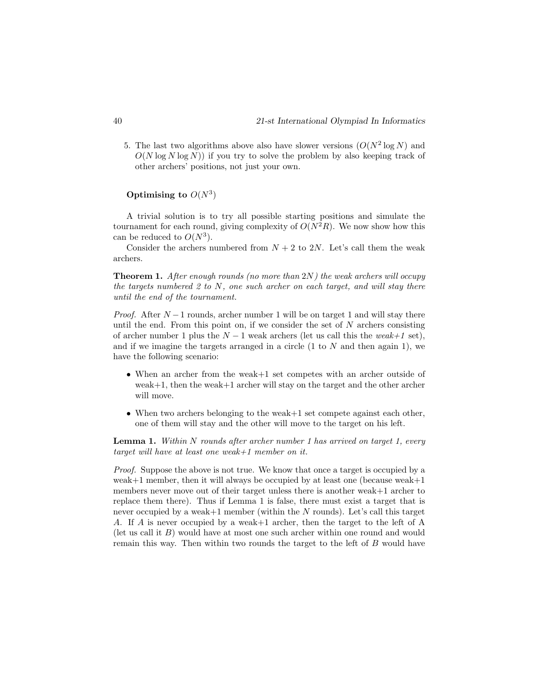5. The last two algorithms above also have slower versions  $(O(N^2 \log N)$  and  $O(N \log N \log N)$  if you try to solve the problem by also keeping track of other archers' positions, not just your own.

## Optimising to  $O(N^3)$

A trivial solution is to try all possible starting positions and simulate the tournament for each round, giving complexity of  $O(N^2R)$ . We now show how this can be reduced to  $O(N^3)$ .

Consider the archers numbered from  $N + 2$  to 2N. Let's call them the weak archers.

**Theorem 1.** After enough rounds (no more than  $2N$ ) the weak archers will occupy the targets numbered 2 to  $N$ , one such archer on each target, and will stay there until the end of the tournament.

*Proof.* After  $N-1$  rounds, archer number 1 will be on target 1 and will stay there until the end. From this point on, if we consider the set of  $N$  archers consisting of archer number 1 plus the  $N-1$  weak archers (let us call this the weak+1 set), and if we imagine the targets arranged in a circle  $(1 \text{ to } N \text{ and then again } 1)$ , we have the following scenario:

- When an archer from the weak+1 set competes with an archer outside of weak+1, then the weak+1 archer will stay on the target and the other archer will move.
- When two archers belonging to the weak+1 set compete against each other, one of them will stay and the other will move to the target on his left.

Lemma 1. Within N rounds after archer number 1 has arrived on target 1, every target will have at least one weak+1 member on it.

Proof. Suppose the above is not true. We know that once a target is occupied by a weak+1 member, then it will always be occupied by at least one (because weak+1 members never move out of their target unless there is another weak+1 archer to replace them there). Thus if Lemma 1 is false, there must exist a target that is never occupied by a weak+1 member (within the N rounds). Let's call this target A. If A is never occupied by a weak+1 archer, then the target to the left of A (let us call it B) would have at most one such archer within one round and would remain this way. Then within two rounds the target to the left of B would have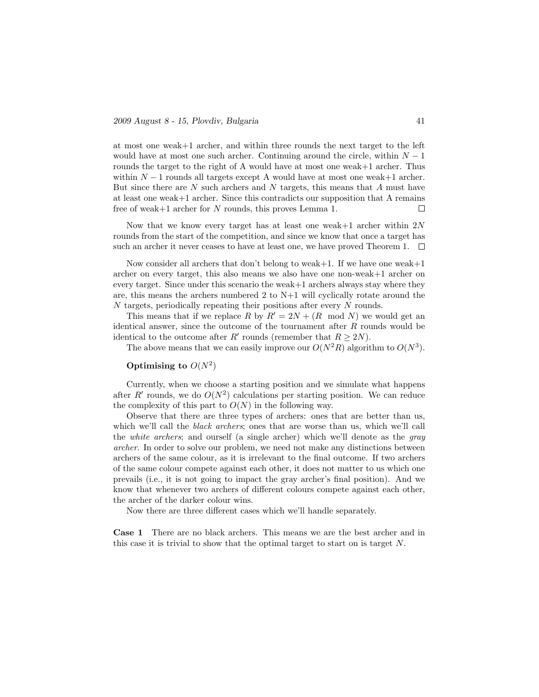at most one weak+1 archer, and within three rounds the next target to the left would have at most one such archer. Continuing around the circle, within  $N-1$ rounds the target to the right of A would have at most one weak+1 archer. Thus within  $N-1$  rounds all targets except A would have at most one weak+1 archer. But since there are  $N$  such archers and  $N$  targets, this means that  $A$  must have at least one weak+1 archer. Since this contradicts our supposition that A remains free of weak+1 archer for N rounds, this proves Lemma 1.  $\Box$ 

Now that we know every target has at least one weak+1 archer within  $2N$ rounds from the start of the competition, and since we know that once a target has such an archer it never ceases to have at least one, we have proved Theorem 1.  $\Box$ 

Now consider all archers that don't belong to weak+1. If we have one weak+1 archer on every target, this also means we also have one non-weak+1 archer on every target. Since under this scenario the weak+1 archers always stay where they are, this means the archers numbered 2 to  $N+1$  will cyclically rotate around the  $N$  targets, periodically repeating their positions after every  $N$  rounds.

This means that if we replace R by  $R' = 2N + (R \mod N)$  we would get an identical answer, since the outcome of the tournament after  $R$  rounds would be identical to the outcome after R' rounds (remember that  $R \geq 2N$ ).

The above means that we can easily improve our  $O(N^2R)$  algorithm to  $O(N^3)$ .

## Optimising to  $O(N^2)$

Currently, when we choose a starting position and we simulate what happens after R' rounds, we do  $O(N^2)$  calculations per starting position. We can reduce the complexity of this part to  $O(N)$  in the following way.

Observe that there are three types of archers: ones that are better than us, which we'll call the *black archers*; ones that are worse than us, which we'll call the white archers; and ourself (a single archer) which we'll denote as the gray archer. In order to solve our problem, we need not make any distinctions between archers of the same colour, as it is irrelevant to the final outcome. If two archers of the same colour compete against each other, it does not matter to us which one prevails (i.e., it is not going to impact the gray archer's final position). And we know that whenever two archers of different colours compete against each other, the archer of the darker colour wins.

Now there are three different cases which we'll handle separately.

Case 1 There are no black archers. This means we are the best archer and in this case it is trivial to show that the optimal target to start on is target  $N$ .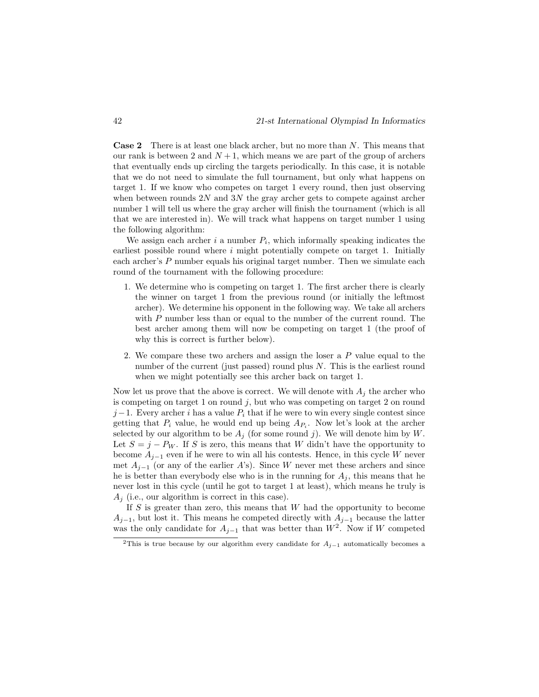Case 2 There is at least one black archer, but no more than N. This means that our rank is between 2 and  $N+1$ , which means we are part of the group of archers that eventually ends up circling the targets periodically. In this case, it is notable that we do not need to simulate the full tournament, but only what happens on target 1. If we know who competes on target 1 every round, then just observing when between rounds  $2N$  and  $3N$  the gray archer gets to compete against archer number 1 will tell us where the gray archer will finish the tournament (which is all that we are interested in). We will track what happens on target number 1 using the following algorithm:

We assign each archer  $i$  a number  $P_i$ , which informally speaking indicates the earliest possible round where  $i$  might potentially compete on target 1. Initially each archer's P number equals his original target number. Then we simulate each round of the tournament with the following procedure:

- 1. We determine who is competing on target 1. The first archer there is clearly the winner on target 1 from the previous round (or initially the leftmost archer). We determine his opponent in the following way. We take all archers with  $P$  number less than or equal to the number of the current round. The best archer among them will now be competing on target 1 (the proof of why this is correct is further below).
- 2. We compare these two archers and assign the loser a  $P$  value equal to the number of the current (just passed) round plus  $N$ . This is the earliest round when we might potentially see this archer back on target 1.

Now let us prove that the above is correct. We will denote with  $A_j$  the archer who is competing on target 1 on round  $j$ , but who was competing on target 2 on round  $j-1$ . Every archer i has a value  $P_i$  that if he were to win every single contest since getting that  $P_i$  value, he would end up being  $A_{P_i}$ . Now let's look at the archer selected by our algorithm to be  $A_i$  (for some round j). We will denote him by W. Let  $S = j - P_W$ . If S is zero, this means that W didn't have the opportunity to become  $A_{i-1}$  even if he were to win all his contests. Hence, in this cycle W never met  $A_{j-1}$  (or any of the earlier A's). Since W never met these archers and since he is better than everybody else who is in the running for  $A_i$ , this means that he never lost in this cycle (until he got to target 1 at least), which means he truly is  $A_i$  (i.e., our algorithm is correct in this case).

If  $S$  is greater than zero, this means that  $W$  had the opportunity to become  $A_{j-1}$ , but lost it. This means he competed directly with  $A_{j-1}$  because the latter was the only candidate for  $A_{j-1}$  that was better than  $W^2$ . Now if W competed

<sup>&</sup>lt;sup>2</sup>This is true because by our algorithm every candidate for  $A_{j-1}$  automatically becomes a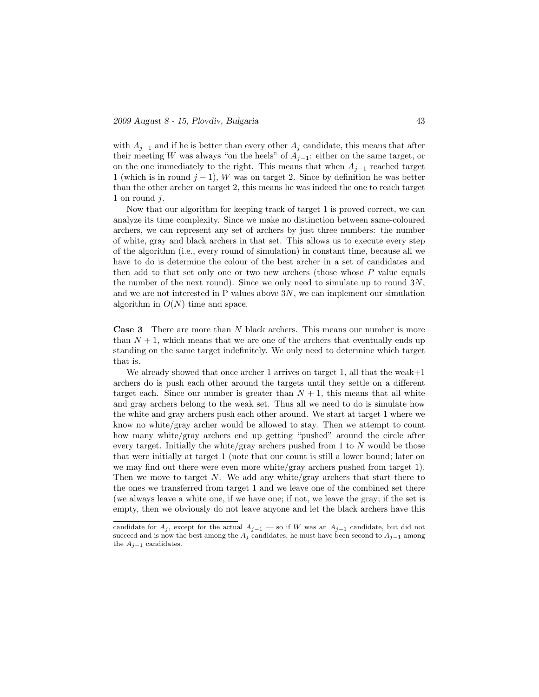with  $A_{i-1}$  and if he is better than every other  $A_i$  candidate, this means that after their meeting W was always "on the heels" of  $A_{j-1}$ : either on the same target, or on the one immediately to the right. This means that when  $A_{j-1}$  reached target 1 (which is in round  $j - 1$ ), W was on target 2. Since by definition he was better than the other archer on target 2, this means he was indeed the one to reach target 1 on round  $j$ .

Now that our algorithm for keeping track of target 1 is proved correct, we can analyze its time complexity. Since we make no distinction between same-coloured archers, we can represent any set of archers by just three numbers: the number of white, gray and black archers in that set. This allows us to execute every step of the algorithm (i.e., every round of simulation) in constant time, because all we have to do is determine the colour of the best archer in a set of candidates and then add to that set only one or two new archers (those whose  $P$  value equals the number of the next round). Since we only need to simulate up to round 3N, and we are not interested in P values above  $3N$ , we can implement our simulation algorithm in  $O(N)$  time and space.

Case 3 There are more than N black archers. This means our number is more than  $N+1$ , which means that we are one of the archers that eventually ends up standing on the same target indefinitely. We only need to determine which target that is.

We already showed that once archer 1 arrives on target 1, all that the weak+1 archers do is push each other around the targets until they settle on a different target each. Since our number is greater than  $N + 1$ , this means that all white and gray archers belong to the weak set. Thus all we need to do is simulate how the white and gray archers push each other around. We start at target 1 where we know no white/gray archer would be allowed to stay. Then we attempt to count how many white/gray archers end up getting "pushed" around the circle after every target. Initially the white/gray archers pushed from 1 to  $N$  would be those that were initially at target 1 (note that our count is still a lower bound; later on we may find out there were even more white/gray archers pushed from target 1). Then we move to target  $N$ . We add any white/gray archers that start there to the ones we transferred from target 1 and we leave one of the combined set there (we always leave a white one, if we have one; if not, we leave the gray; if the set is empty, then we obviously do not leave anyone and let the black archers have this

candidate for  $A_j$ , except for the actual  $A_{j-1}$  — so if W was an  $A_{j-1}$  candidate, but did not succeed and is now the best among the  $A_j$  candidates, he must have been second to  $A_{j-1}$  among the  $A_{j-1}$  candidates.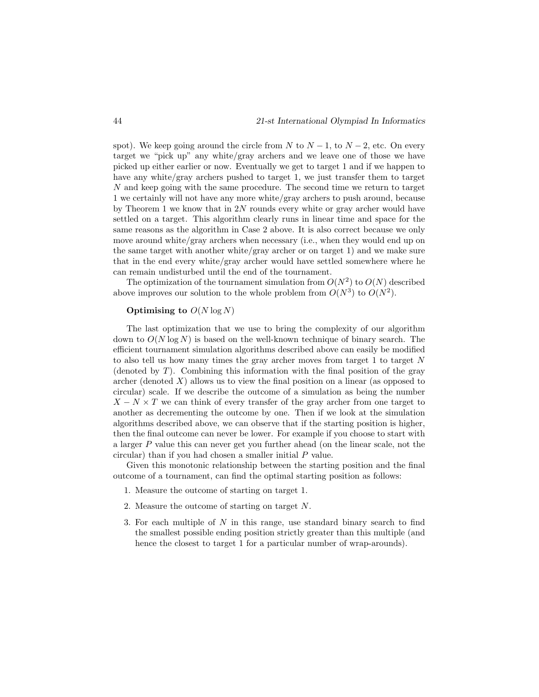spot). We keep going around the circle from N to  $N-1$ , to  $N-2$ , etc. On every target we "pick up" any white/gray archers and we leave one of those we have picked up either earlier or now. Eventually we get to target 1 and if we happen to have any white/gray archers pushed to target 1, we just transfer them to target N and keep going with the same procedure. The second time we return to target 1 we certainly will not have any more white/gray archers to push around, because by Theorem 1 we know that in  $2N$  rounds every white or gray archer would have settled on a target. This algorithm clearly runs in linear time and space for the same reasons as the algorithm in Case 2 above. It is also correct because we only move around white/gray archers when necessary (i.e., when they would end up on the same target with another white/gray archer or on target 1) and we make sure that in the end every white/gray archer would have settled somewhere where he can remain undisturbed until the end of the tournament.

The optimization of the tournament simulation from  $O(N^2)$  to  $O(N)$  described above improves our solution to the whole problem from  $O(N^3)$  to  $O(N^2)$ .

#### Optimising to  $O(N \log N)$

The last optimization that we use to bring the complexity of our algorithm down to  $O(N \log N)$  is based on the well-known technique of binary search. The efficient tournament simulation algorithms described above can easily be modified to also tell us how many times the gray archer moves from target 1 to target N (denoted by T). Combining this information with the final position of the gray archer (denoted  $X$ ) allows us to view the final position on a linear (as opposed to circular) scale. If we describe the outcome of a simulation as being the number  $X - N \times T$  we can think of every transfer of the gray archer from one target to another as decrementing the outcome by one. Then if we look at the simulation algorithms described above, we can observe that if the starting position is higher, then the final outcome can never be lower. For example if you choose to start with a larger P value this can never get you further ahead (on the linear scale, not the circular) than if you had chosen a smaller initial P value.

Given this monotonic relationship between the starting position and the final outcome of a tournament, can find the optimal starting position as follows:

- 1. Measure the outcome of starting on target 1.
- 2. Measure the outcome of starting on target N.
- 3. For each multiple of  $N$  in this range, use standard binary search to find the smallest possible ending position strictly greater than this multiple (and hence the closest to target 1 for a particular number of wrap-arounds).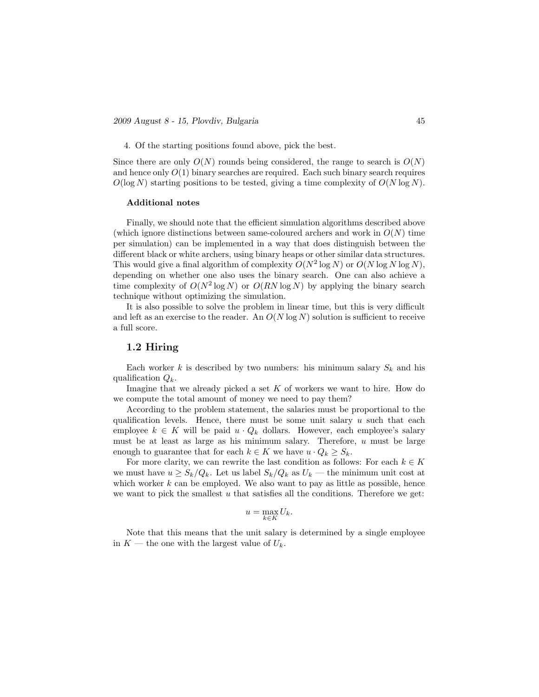2009 August 8 - 15, Plovdiv, Bulgaria 45

4. Of the starting positions found above, pick the best.

Since there are only  $O(N)$  rounds being considered, the range to search is  $O(N)$ and hence only  $O(1)$  binary searches are required. Each such binary search requires  $O(\log N)$  starting positions to be tested, giving a time complexity of  $O(N \log N)$ .

#### Additional notes

Finally, we should note that the efficient simulation algorithms described above (which ignore distinctions between same-coloured archers and work in  $O(N)$  time per simulation) can be implemented in a way that does distinguish between the different black or white archers, using binary heaps or other similar data structures. This would give a final algorithm of complexity  $O(N^2 \log N)$  or  $O(N \log N \log N)$ , depending on whether one also uses the binary search. One can also achieve a time complexity of  $O(N^2 \log N)$  or  $O(RN \log N)$  by applying the binary search technique without optimizing the simulation.

It is also possible to solve the problem in linear time, but this is very difficult and left as an exercise to the reader. An  $O(N \log N)$  solution is sufficient to receive a full score.

## 1.2 Hiring

Each worker k is described by two numbers: his minimum salary  $S_k$  and his qualification  $Q_k$ .

Imagine that we already picked a set  $K$  of workers we want to hire. How do we compute the total amount of money we need to pay them?

According to the problem statement, the salaries must be proportional to the qualification levels. Hence, there must be some unit salary  $u$  such that each employee  $k \in K$  will be paid  $u \cdot Q_k$  dollars. However, each employee's salary must be at least as large as his minimum salary. Therefore,  $u$  must be large enough to guarantee that for each  $k \in K$  we have  $u \cdot Q_k \geq S_k$ .

For more clarity, we can rewrite the last condition as follows: For each  $k \in K$ we must have  $u \geq S_k/Q_k$ . Let us label  $S_k/Q_k$  as  $U_k$  — the minimum unit cost at which worker  $k$  can be employed. We also want to pay as little as possible, hence we want to pick the smallest  $u$  that satisfies all the conditions. Therefore we get:

$$
u = \max_{k \in K} U_k.
$$

Note that this means that the unit salary is determined by a single employee in  $K$  — the one with the largest value of  $U_k$ .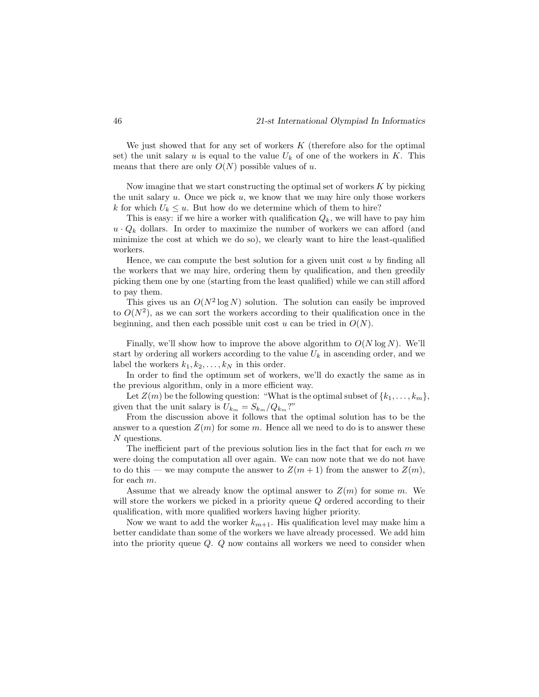We just showed that for any set of workers  $K$  (therefore also for the optimal set) the unit salary u is equal to the value  $U_k$  of one of the workers in K. This means that there are only  $O(N)$  possible values of u.

Now imagine that we start constructing the optimal set of workers  $K$  by picking the unit salary  $u$ . Once we pick  $u$ , we know that we may hire only those workers k for which  $U_k \leq u$ . But how do we determine which of them to hire?

This is easy: if we hire a worker with qualification  $Q_k$ , we will have to pay him  $u \cdot Q_k$  dollars. In order to maximize the number of workers we can afford (and minimize the cost at which we do so), we clearly want to hire the least-qualified workers.

Hence, we can compute the best solution for a given unit cost  $u$  by finding all the workers that we may hire, ordering them by qualification, and then greedily picking them one by one (starting from the least qualified) while we can still afford to pay them.

This gives us an  $O(N^2 \log N)$  solution. The solution can easily be improved to  $O(N^2)$ , as we can sort the workers according to their qualification once in the beginning, and then each possible unit cost u can be tried in  $O(N)$ .

Finally, we'll show how to improve the above algorithm to  $O(N \log N)$ . We'll start by ordering all workers according to the value  $U_k$  in ascending order, and we label the workers  $k_1, k_2, \ldots, k_N$  in this order.

In order to find the optimum set of workers, we'll do exactly the same as in the previous algorithm, only in a more efficient way.

Let  $Z(m)$  be the following question: "What is the optimal subset of  $\{k_1, \ldots, k_m\}$ , given that the unit salary is  $U_{k_m} = S_{k_m}/Q_{k_m}$ ?"

From the discussion above it follows that the optimal solution has to be the answer to a question  $Z(m)$  for some m. Hence all we need to do is to answer these N questions.

The inefficient part of the previous solution lies in the fact that for each  $m$  we were doing the computation all over again. We can now note that we do not have to do this — we may compute the answer to  $Z(m+1)$  from the answer to  $Z(m)$ , for each m.

Assume that we already know the optimal answer to  $Z(m)$  for some m. We will store the workers we picked in a priority queue Q ordered according to their qualification, with more qualified workers having higher priority.

Now we want to add the worker  $k_{m+1}$ . His qualification level may make him a better candidate than some of the workers we have already processed. We add him into the priority queue  $Q$ .  $Q$  now contains all workers we need to consider when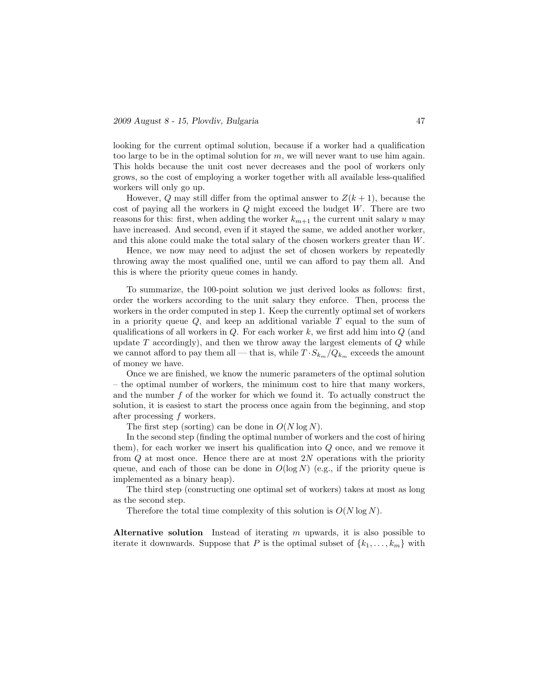looking for the current optimal solution, because if a worker had a qualification too large to be in the optimal solution for  $m$ , we will never want to use him again. This holds because the unit cost never decreases and the pool of workers only grows, so the cost of employing a worker together with all available less-qualified workers will only go up.

However, Q may still differ from the optimal answer to  $Z(k + 1)$ , because the cost of paying all the workers in  $Q$  might exceed the budget  $W$ . There are two reasons for this: first, when adding the worker  $k_{m+1}$  the current unit salary u may have increased. And second, even if it stayed the same, we added another worker, and this alone could make the total salary of the chosen workers greater than W.

Hence, we now may need to adjust the set of chosen workers by repeatedly throwing away the most qualified one, until we can afford to pay them all. And this is where the priority queue comes in handy.

To summarize, the 100-point solution we just derived looks as follows: first, order the workers according to the unit salary they enforce. Then, process the workers in the order computed in step 1. Keep the currently optimal set of workers in a priority queue  $Q$ , and keep an additional variable  $T$  equal to the sum of qualifications of all workers in  $Q$ . For each worker k, we first add him into  $Q$  (and update  $T$  accordingly), and then we throw away the largest elements of  $Q$  while we cannot afford to pay them all — that is, while  $T \cdot S_{k_m}/Q_{k_m}$  exceeds the amount of money we have.

Once we are finished, we know the numeric parameters of the optimal solution – the optimal number of workers, the minimum cost to hire that many workers, and the number  $f$  of the worker for which we found it. To actually construct the solution, it is easiest to start the process once again from the beginning, and stop after processing f workers.

The first step (sorting) can be done in  $O(N \log N)$ .

In the second step (finding the optimal number of workers and the cost of hiring them), for each worker we insert his qualification into Q once, and we remove it from  $Q$  at most once. Hence there are at most  $2N$  operations with the priority queue, and each of those can be done in  $O(\log N)$  (e.g., if the priority queue is implemented as a binary heap).

The third step (constructing one optimal set of workers) takes at most as long as the second step.

Therefore the total time complexity of this solution is  $O(N \log N)$ .

Alternative solution Instead of iterating  $m$  upwards, it is also possible to iterate it downwards. Suppose that P is the optimal subset of  $\{k_1, \ldots, k_m\}$  with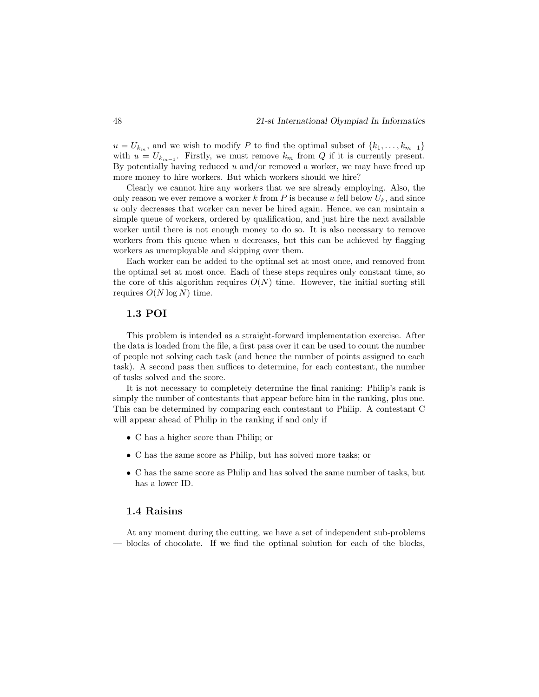$u = U_{k_m}$ , and we wish to modify P to find the optimal subset of  $\{k_1, \ldots, k_{m-1}\}$ with  $u = U_{k_{m-1}}$ . Firstly, we must remove  $k_m$  from Q if it is currently present. By potentially having reduced  $u$  and/or removed a worker, we may have freed up more money to hire workers. But which workers should we hire?

Clearly we cannot hire any workers that we are already employing. Also, the only reason we ever remove a worker k from P is because u fell below  $U_k$ , and since u only decreases that worker can never be hired again. Hence, we can maintain a simple queue of workers, ordered by qualification, and just hire the next available worker until there is not enough money to do so. It is also necessary to remove workers from this queue when  $u$  decreases, but this can be achieved by flagging workers as unemployable and skipping over them.

Each worker can be added to the optimal set at most once, and removed from the optimal set at most once. Each of these steps requires only constant time, so the core of this algorithm requires  $O(N)$  time. However, the initial sorting still requires  $O(N \log N)$  time.

## 1.3 POI

This problem is intended as a straight-forward implementation exercise. After the data is loaded from the file, a first pass over it can be used to count the number of people not solving each task (and hence the number of points assigned to each task). A second pass then suffices to determine, for each contestant, the number of tasks solved and the score.

It is not necessary to completely determine the final ranking: Philip's rank is simply the number of contestants that appear before him in the ranking, plus one. This can be determined by comparing each contestant to Philip. A contestant C will appear ahead of Philip in the ranking if and only if

- C has a higher score than Philip; or
- C has the same score as Philip, but has solved more tasks; or
- C has the same score as Philip and has solved the same number of tasks, but has a lower ID.

## 1.4 Raisins

At any moment during the cutting, we have a set of independent sub-problems — blocks of chocolate. If we find the optimal solution for each of the blocks,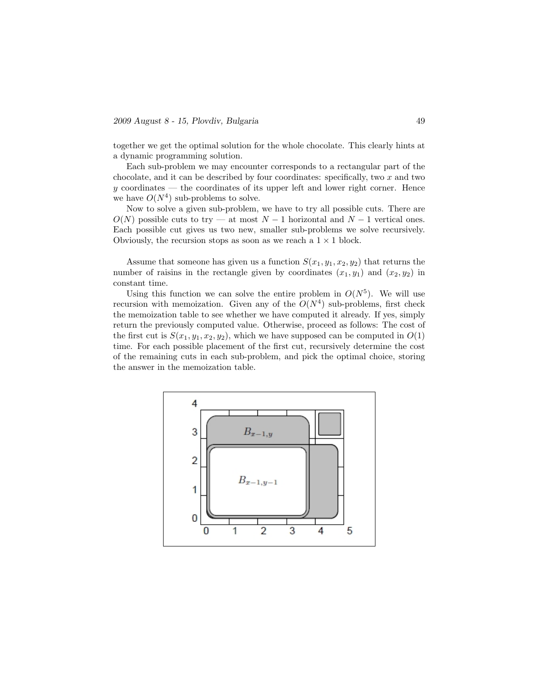together we get the optimal solution for the whole chocolate. This clearly hints at a dynamic programming solution.

Each sub-problem we may encounter corresponds to a rectangular part of the chocolate, and it can be described by four coordinates: specifically, two  $x$  and two y coordinates — the coordinates of its upper left and lower right corner. Hence we have  $O(N^4)$  sub-problems to solve.

Now to solve a given sub-problem, we have to try all possible cuts. There are  $O(N)$  possible cuts to try — at most  $N-1$  horizontal and  $N-1$  vertical ones. Each possible cut gives us two new, smaller sub-problems we solve recursively. Obviously, the recursion stops as soon as we reach a  $1 \times 1$  block.

Assume that someone has given us a function  $S(x_1, y_1, x_2, y_2)$  that returns the number of raisins in the rectangle given by coordinates  $(x_1, y_1)$  and  $(x_2, y_2)$  in constant time.

Using this function we can solve the entire problem in  $O(N^5)$ . We will use recursion with memoization. Given any of the  $O(N^4)$  sub-problems, first check the memoization table to see whether we have computed it already. If yes, simply return the previously computed value. Otherwise, proceed as follows: The cost of the first cut is  $S(x_1, y_1, x_2, y_2)$ , which we have supposed can be computed in  $O(1)$ time. For each possible placement of the first cut, recursively determine the cost of the remaining cuts in each sub-problem, and pick the optimal choice, storing the answer in the memoization table.

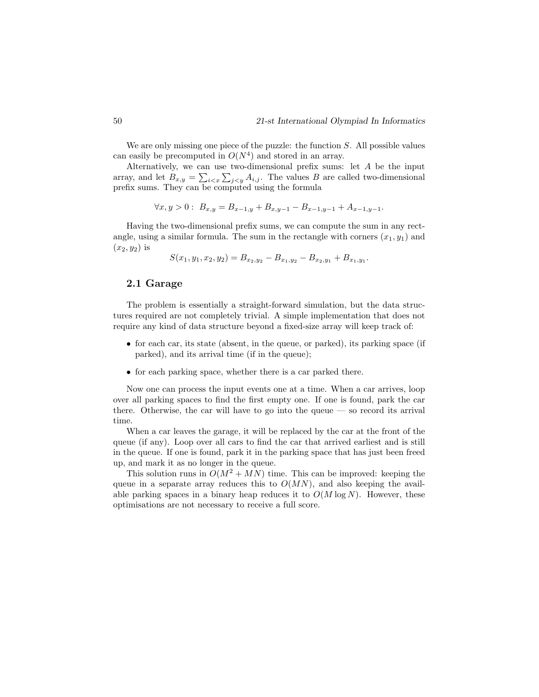We are only missing one piece of the puzzle: the function  $S$ . All possible values can easily be precomputed in  $O(N^4)$  and stored in an array.

Alternatively, we can use two-dimensional prefix sums: let A be the input array, and let  $B_{x,y} = \sum_{i \leq x} \sum_{j \leq y} A_{i,j}$ . The values B are called two-dimensional prefix sums. They can be computed using the formula

$$
\forall x, y > 0: \ B_{x,y} = B_{x-1,y} + B_{x,y-1} - B_{x-1,y-1} + A_{x-1,y-1}.
$$

Having the two-dimensional prefix sums, we can compute the sum in any rectangle, using a similar formula. The sum in the rectangle with corners  $(x_1, y_1)$  and  $(x_2, y_2)$  is

 $S(x_1, y_1, x_2, y_2) = B_{x_2, y_2} - B_{x_1, y_2} - B_{x_2, y_1} + B_{x_1, y_1}.$ 

#### 2.1 Garage

The problem is essentially a straight-forward simulation, but the data structures required are not completely trivial. A simple implementation that does not require any kind of data structure beyond a fixed-size array will keep track of:

- for each car, its state (absent, in the queue, or parked), its parking space (if parked), and its arrival time (if in the queue);
- for each parking space, whether there is a car parked there.

Now one can process the input events one at a time. When a car arrives, loop over all parking spaces to find the first empty one. If one is found, park the car there. Otherwise, the car will have to go into the queue — so record its arrival time.

When a car leaves the garage, it will be replaced by the car at the front of the queue (if any). Loop over all cars to find the car that arrived earliest and is still in the queue. If one is found, park it in the parking space that has just been freed up, and mark it as no longer in the queue.

This solution runs in  $O(M^2 + MN)$  time. This can be improved: keeping the queue in a separate array reduces this to  $O(MN)$ , and also keeping the available parking spaces in a binary heap reduces it to  $O(M \log N)$ . However, these optimisations are not necessary to receive a full score.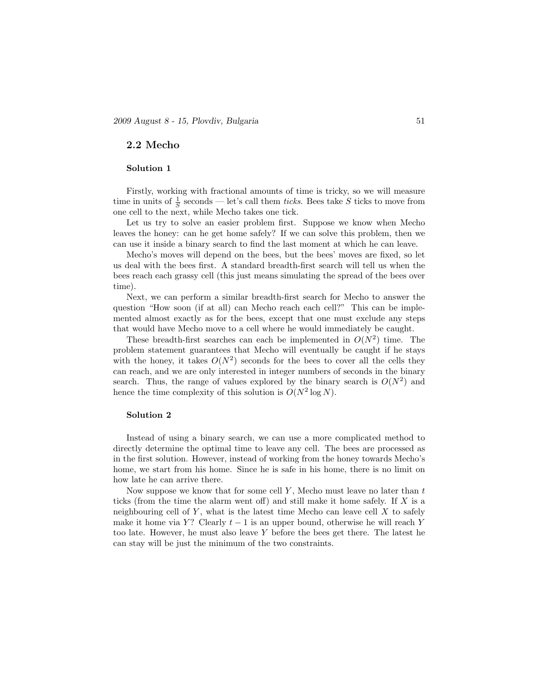## 2.2 Mecho

#### Solution 1

Firstly, working with fractional amounts of time is tricky, so we will measure time in units of  $\frac{1}{S}$  seconds — let's call them *ticks*. Bees take S ticks to move from one cell to the next, while Mecho takes one tick.

Let us try to solve an easier problem first. Suppose we know when Mecho leaves the honey: can he get home safely? If we can solve this problem, then we can use it inside a binary search to find the last moment at which he can leave.

Mecho's moves will depend on the bees, but the bees' moves are fixed, so let us deal with the bees first. A standard breadth-first search will tell us when the bees reach each grassy cell (this just means simulating the spread of the bees over time).

Next, we can perform a similar breadth-first search for Mecho to answer the question "How soon (if at all) can Mecho reach each cell?" This can be implemented almost exactly as for the bees, except that one must exclude any steps that would have Mecho move to a cell where he would immediately be caught.

These breadth-first searches can each be implemented in  $O(N^2)$  time. The problem statement guarantees that Mecho will eventually be caught if he stays with the honey, it takes  $O(N^2)$  seconds for the bees to cover all the cells they can reach, and we are only interested in integer numbers of seconds in the binary search. Thus, the range of values explored by the binary search is  $O(N^2)$  and hence the time complexity of this solution is  $O(N^2 \log N)$ .

#### Solution 2

Instead of using a binary search, we can use a more complicated method to directly determine the optimal time to leave any cell. The bees are processed as in the first solution. However, instead of working from the honey towards Mecho's home, we start from his home. Since he is safe in his home, there is no limit on how late he can arrive there.

Now suppose we know that for some cell  $Y$ , Mecho must leave no later than  $t$ ticks (from the time the alarm went off) and still make it home safely. If X is a neighbouring cell of  $Y$ , what is the latest time Mecho can leave cell  $X$  to safely make it home via Y? Clearly  $t-1$  is an upper bound, otherwise he will reach Y too late. However, he must also leave Y before the bees get there. The latest he can stay will be just the minimum of the two constraints.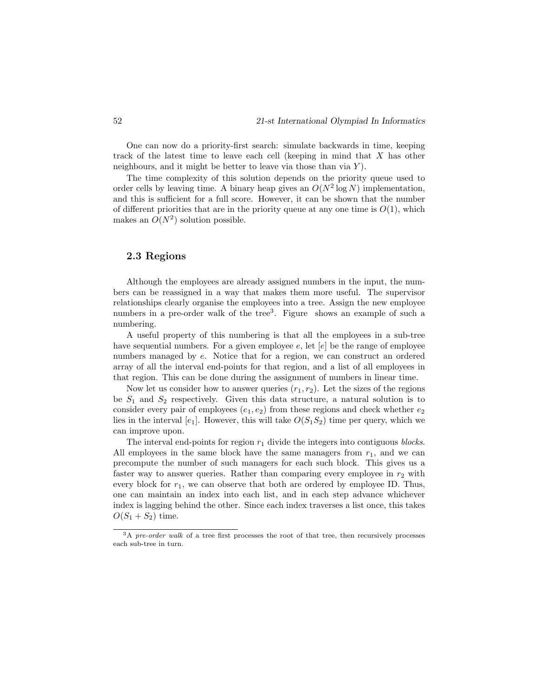One can now do a priority-first search: simulate backwards in time, keeping track of the latest time to leave each cell (keeping in mind that X has other neighbours, and it might be better to leave via those than via  $Y$ ).

The time complexity of this solution depends on the priority queue used to order cells by leaving time. A binary heap gives an  $O(N^2 \log N)$  implementation, and this is sufficient for a full score. However, it can be shown that the number of different priorities that are in the priority queue at any one time is  $O(1)$ , which makes an  $O(N^2)$  solution possible.

## 2.3 Regions

Although the employees are already assigned numbers in the input, the numbers can be reassigned in a way that makes them more useful. The supervisor relationships clearly organise the employees into a tree. Assign the new employee numbers in a pre-order walk of the tree<sup>3</sup>. Figure shows an example of such a numbering.

A useful property of this numbering is that all the employees in a sub-tree have sequential numbers. For a given employee  $e$ , let  $[e]$  be the range of employee numbers managed by e. Notice that for a region, we can construct an ordered array of all the interval end-points for that region, and a list of all employees in that region. This can be done during the assignment of numbers in linear time.

Now let us consider how to answer queries  $(r_1, r_2)$ . Let the sizes of the regions be  $S_1$  and  $S_2$  respectively. Given this data structure, a natural solution is to consider every pair of employees  $(e_1, e_2)$  from these regions and check whether  $e_2$ lies in the interval  $[e_1]$ . However, this will take  $O(S_1S_2)$  time per query, which we can improve upon.

The interval end-points for region  $r_1$  divide the integers into contiguous blocks. All employees in the same block have the same managers from  $r_1$ , and we can precompute the number of such managers for each such block. This gives us a faster way to answer queries. Rather than comparing every employee in  $r_2$  with every block for  $r_1$ , we can observe that both are ordered by employee ID. Thus, one can maintain an index into each list, and in each step advance whichever index is lagging behind the other. Since each index traverses a list once, this takes  $O(S_1 + S_2)$  time.

 $3A$  pre-order walk of a tree first processes the root of that tree, then recursively processes each sub-tree in turn.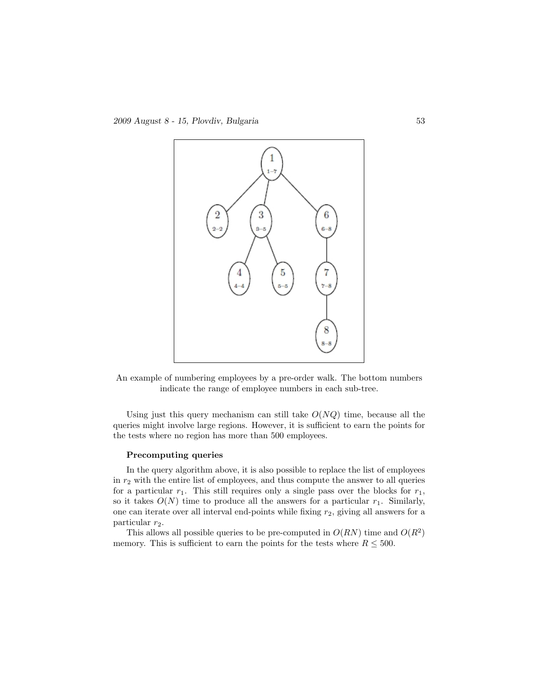

An example of numbering employees by a pre-order walk. The bottom numbers indicate the range of employee numbers in each sub-tree.

Using just this query mechanism can still take  $O(NQ)$  time, because all the queries might involve large regions. However, it is sufficient to earn the points for the tests where no region has more than 500 employees.

### Precomputing queries

In the query algorithm above, it is also possible to replace the list of employees in  $r<sub>2</sub>$  with the entire list of employees, and thus compute the answer to all queries for a particular  $r_1$ . This still requires only a single pass over the blocks for  $r_1$ , so it takes  $O(N)$  time to produce all the answers for a particular  $r_1$ . Similarly, one can iterate over all interval end-points while fixing  $r_2$ , giving all answers for a particular  $r_2$ .

This allows all possible queries to be pre-computed in  $O(RN)$  time and  $O(R^2)$ memory. This is sufficient to earn the points for the tests where  $R \leq 500$ .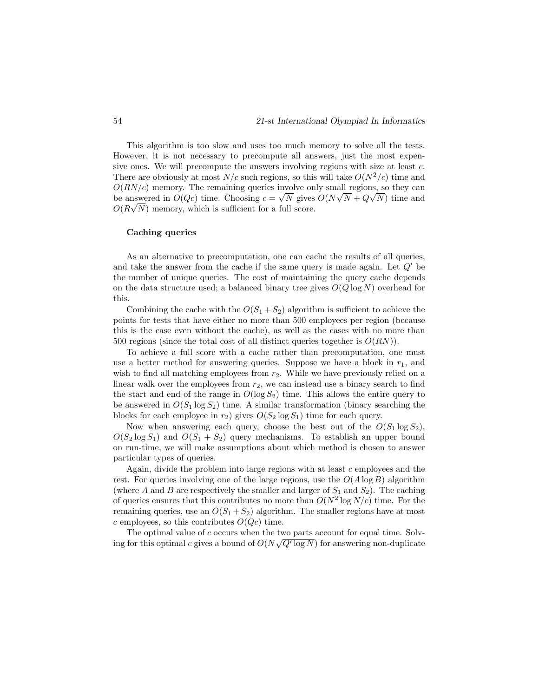This algorithm is too slow and uses too much memory to solve all the tests. However, it is not necessary to precompute all answers, just the most expensive ones. We will precompute the answers involving regions with size at least c. There are obviously at most  $N/c$  such regions, so this will take  $O(N^2/c)$  time and  $O(RN/c)$  memory. The remaining queries involve only small regions, so they can be answered in  $O(Qc)$  time. Choosing  $c = \sqrt{N}$  gives  $O(N\sqrt{N} + Q\sqrt{N})$  time and  $O(R\sqrt{N})$  memory, which is sufficient for a full score.

#### Caching queries

As an alternative to precomputation, one can cache the results of all queries, and take the answer from the cache if the same query is made again. Let  $Q'$  be the number of unique queries. The cost of maintaining the query cache depends on the data structure used; a balanced binary tree gives  $O(Q \log N)$  overhead for this.

Combining the cache with the  $O(S_1 + S_2)$  algorithm is sufficient to achieve the points for tests that have either no more than 500 employees per region (because this is the case even without the cache), as well as the cases with no more than 500 regions (since the total cost of all distinct queries together is  $O(RN)$ ).

To achieve a full score with a cache rather than precomputation, one must use a better method for answering queries. Suppose we have a block in  $r_1$ , and wish to find all matching employees from  $r_2$ . While we have previously relied on a linear walk over the employees from  $r_2$ , we can instead use a binary search to find the start and end of the range in  $O(\log S_2)$  time. This allows the entire query to be answered in  $O(S_1 \log S_2)$  time. A similar transformation (binary searching the blocks for each employee in  $r_2$ ) gives  $O(S_2 \log S_1)$  time for each query.

Now when answering each query, choose the best out of the  $O(S_1 \log S_2)$ ,  $O(S_2 \log S_1)$  and  $O(S_1 + S_2)$  query mechanisms. To establish an upper bound on run-time, we will make assumptions about which method is chosen to answer particular types of queries.

Again, divide the problem into large regions with at least c employees and the rest. For queries involving one of the large regions, use the  $O(A \log B)$  algorithm (where A and B are respectively the smaller and larger of  $S_1$  and  $S_2$ ). The caching of queries ensures that this contributes no more than  $O(N^2 \log N/c)$  time. For the remaining queries, use an  $O(S_1 + S_2)$  algorithm. The smaller regions have at most c employees, so this contributes  $O(Qc)$  time.

The optimal value of c occurs when the two parts account for equal time. Solving for this optimal c gives a bound of  $O(N\sqrt{Q' \log N})$  for answering non-duplicate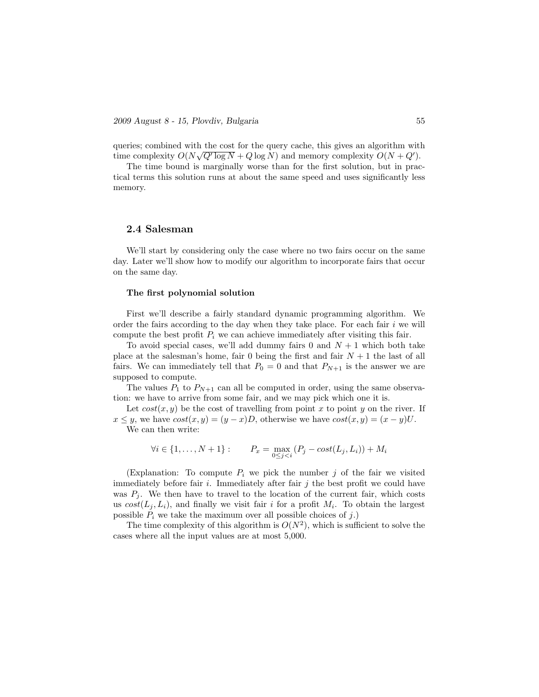queries; combined with the cost for the query cache, this gives an algorithm with time complexity  $O(N\sqrt{Q' \log N} + Q \log N)$  and memory complexity  $O(N + Q')$ .

The time bound is marginally worse than for the first solution, but in practical terms this solution runs at about the same speed and uses significantly less memory.

## 2.4 Salesman

We'll start by considering only the case where no two fairs occur on the same day. Later we'll show how to modify our algorithm to incorporate fairs that occur on the same day.

#### The first polynomial solution

First we'll describe a fairly standard dynamic programming algorithm. We order the fairs according to the day when they take place. For each fair  $i$  we will compute the best profit  $P_i$  we can achieve immediately after visiting this fair.

To avoid special cases, we'll add dummy fairs 0 and  $N+1$  which both take place at the salesman's home, fair 0 being the first and fair  $N+1$  the last of all fairs. We can immediately tell that  $P_0 = 0$  and that  $P_{N+1}$  is the answer we are supposed to compute.

The values  $P_1$  to  $P_{N+1}$  can all be computed in order, using the same observation: we have to arrive from some fair, and we may pick which one it is.

Let  $cost(x, y)$  be the cost of travelling from point x to point y on the river. If  $x \leq y$ , we have  $cost(x, y) = (y - x)D$ , otherwise we have  $cost(x, y) = (x - y)U$ . We can then write:

$$
\forall i \in \{1, \ldots, N+1\} : \qquad P_x = \max_{0 \leq j < i} (P_j - cost(L_j, L_i)) + M_i
$$

(Explanation: To compute  $P_i$  we pick the number j of the fair we visited immediately before fair  $i$ . Immediately after fair  $j$  the best profit we could have was  $P_j$ . We then have to travel to the location of the current fair, which costs us  $cost(L_j, L_i)$ , and finally we visit fair i for a profit  $M_i$ . To obtain the largest possible  $P_i$  we take the maximum over all possible choices of j.)

The time complexity of this algorithm is  $O(N^2)$ , which is sufficient to solve the cases where all the input values are at most 5,000.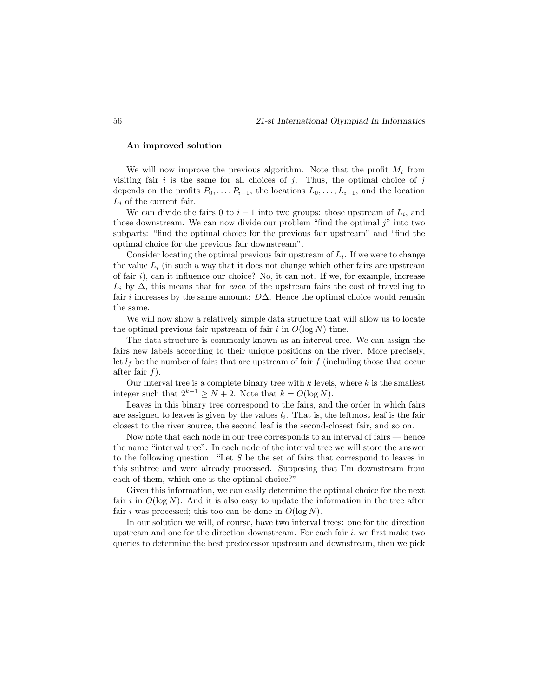#### An improved solution

We will now improve the previous algorithm. Note that the profit  $M_i$  from visiting fair  $i$  is the same for all choices of  $j$ . Thus, the optimal choice of  $j$ depends on the profits  $P_0, \ldots, P_{i-1}$ , the locations  $L_0, \ldots, L_{i-1}$ , and the location  $L_i$  of the current fair.

We can divide the fairs 0 to  $i - 1$  into two groups: those upstream of  $L_i$ , and those downstream. We can now divide our problem "find the optimal  $j$ " into two subparts: "find the optimal choice for the previous fair upstream" and "find the optimal choice for the previous fair downstream".

Consider locating the optimal previous fair upstream of  $L_i$ . If we were to change the value  $L_i$  (in such a way that it does not change which other fairs are upstream of fair i), can it influence our choice? No, it can not. If we, for example, increase  $L_i$  by  $\Delta$ , this means that for each of the upstream fairs the cost of travelling to fair i increases by the same amount:  $D\Delta$ . Hence the optimal choice would remain the same.

We will now show a relatively simple data structure that will allow us to locate the optimal previous fair upstream of fair i in  $O(\log N)$  time.

The data structure is commonly known as an interval tree. We can assign the fairs new labels according to their unique positions on the river. More precisely, let  $l_f$  be the number of fairs that are upstream of fair f (including those that occur after fair  $f$ ).

Our interval tree is a complete binary tree with  $k$  levels, where  $k$  is the smallest integer such that  $2^{k-1} \geq N+2$ . Note that  $k = O(\log N)$ .

Leaves in this binary tree correspond to the fairs, and the order in which fairs are assigned to leaves is given by the values  $l_i$ . That is, the leftmost leaf is the fair closest to the river source, the second leaf is the second-closest fair, and so on.

Now note that each node in our tree corresponds to an interval of fairs — hence the name "interval tree". In each node of the interval tree we will store the answer to the following question: "Let  $S$  be the set of fairs that correspond to leaves in this subtree and were already processed. Supposing that I'm downstream from each of them, which one is the optimal choice?"

Given this information, we can easily determine the optimal choice for the next fair i in  $O(\log N)$ . And it is also easy to update the information in the tree after fair i was processed; this too can be done in  $O(\log N)$ .

In our solution we will, of course, have two interval trees: one for the direction upstream and one for the direction downstream. For each fair  $i$ , we first make two queries to determine the best predecessor upstream and downstream, then we pick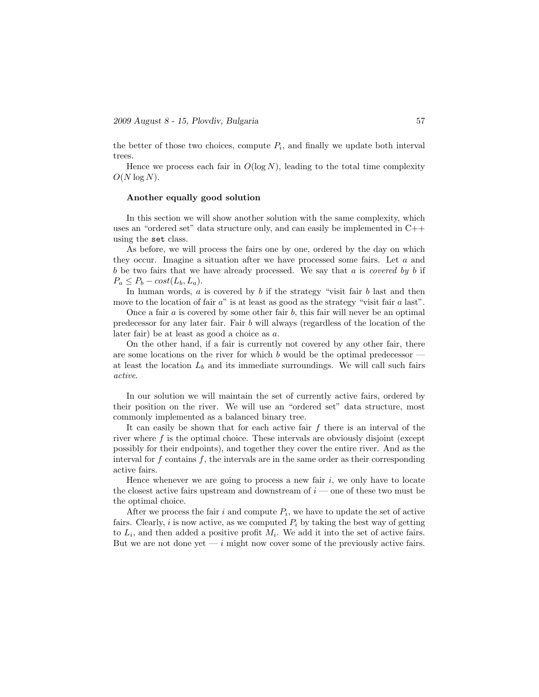the better of those two choices, compute  $P_i$ , and finally we update both interval trees.

Hence we process each fair in  $O(\log N)$ , leading to the total time complexity  $O(N \log N)$ .

#### Another equally good solution

In this section we will show another solution with the same complexity, which uses an "ordered set" data structure only, and can easily be implemented in C++ using the set class.

As before, we will process the fairs one by one, ordered by the day on which they occur. Imagine a situation after we have processed some fairs. Let a and  $b$  be two fairs that we have already processed. We say that  $a$  is *covered by b* if  $P_a \leq P_b - cost(L_b, L_a).$ 

In human words,  $\alpha$  is covered by  $\delta$  if the strategy "visit fair  $\delta$  last and then move to the location of fair  $a$ " is at least as good as the strategy "visit fair  $a$  last".

Once a fair  $a$  is covered by some other fair  $b$ , this fair will never be an optimal predecessor for any later fair. Fair b will always (regardless of the location of the later fair) be at least as good a choice as a.

On the other hand, if a fair is currently not covered by any other fair, there are some locations on the river for which b would be the optimal predecessor  $$ at least the location  $L_b$  and its immediate surroundings. We will call such fairs active.

In our solution we will maintain the set of currently active fairs, ordered by their position on the river. We will use an "ordered set" data structure, most commonly implemented as a balanced binary tree.

It can easily be shown that for each active fair  $f$  there is an interval of the river where  $f$  is the optimal choice. These intervals are obviously disjoint (except possibly for their endpoints), and together they cover the entire river. And as the interval for  $f$  contains  $f$ , the intervals are in the same order as their corresponding active fairs.

Hence whenever we are going to process a new fair  $i$ , we only have to locate the closest active fairs upstream and downstream of  $i$  — one of these two must be the optimal choice.

After we process the fair  $i$  and compute  $P_i$ , we have to update the set of active fairs. Clearly,  $i$  is now active, as we computed  $P_i$  by taking the best way of getting to  $L_i$ , and then added a positive profit  $M_i$ . We add it into the set of active fairs. But we are not done yet  $-i$  might now cover some of the previously active fairs.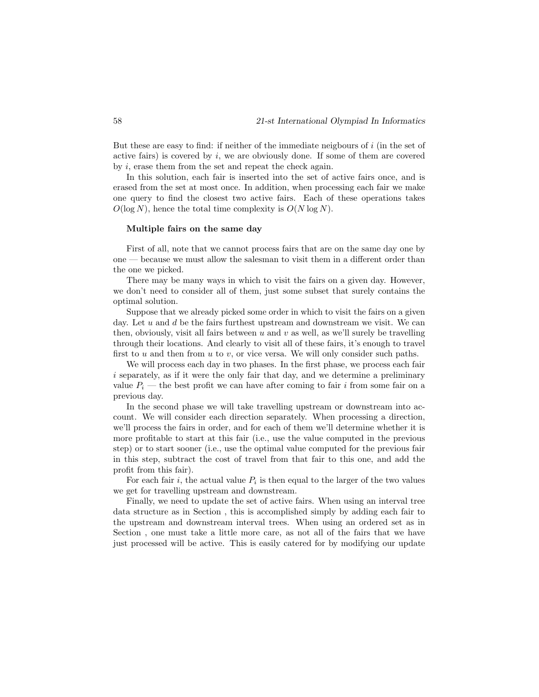But these are easy to find: if neither of the immediate neigbours of  $i$  (in the set of active fairs) is covered by  $i$ , we are obviously done. If some of them are covered by i, erase them from the set and repeat the check again.

In this solution, each fair is inserted into the set of active fairs once, and is erased from the set at most once. In addition, when processing each fair we make one query to find the closest two active fairs. Each of these operations takes  $O(\log N)$ , hence the total time complexity is  $O(N \log N)$ .

#### Multiple fairs on the same day

First of all, note that we cannot process fairs that are on the same day one by one — because we must allow the salesman to visit them in a different order than the one we picked.

There may be many ways in which to visit the fairs on a given day. However, we don't need to consider all of them, just some subset that surely contains the optimal solution.

Suppose that we already picked some order in which to visit the fairs on a given day. Let  $u$  and  $d$  be the fairs furthest upstream and downstream we visit. We can then, obviously, visit all fairs between  $u$  and  $v$  as well, as we'll surely be travelling through their locations. And clearly to visit all of these fairs, it's enough to travel first to  $u$  and then from  $u$  to  $v$ , or vice versa. We will only consider such paths.

We will process each day in two phases. In the first phase, we process each fair i separately, as if it were the only fair that day, and we determine a preliminary value  $P_i$  — the best profit we can have after coming to fair i from some fair on a previous day.

In the second phase we will take travelling upstream or downstream into account. We will consider each direction separately. When processing a direction, we'll process the fairs in order, and for each of them we'll determine whether it is more profitable to start at this fair (i.e., use the value computed in the previous step) or to start sooner (i.e., use the optimal value computed for the previous fair in this step, subtract the cost of travel from that fair to this one, and add the profit from this fair).

For each fair  $i$ , the actual value  $P_i$  is then equal to the larger of the two values we get for travelling upstream and downstream.

Finally, we need to update the set of active fairs. When using an interval tree data structure as in Section , this is accomplished simply by adding each fair to the upstream and downstream interval trees. When using an ordered set as in Section , one must take a little more care, as not all of the fairs that we have just processed will be active. This is easily catered for by modifying our update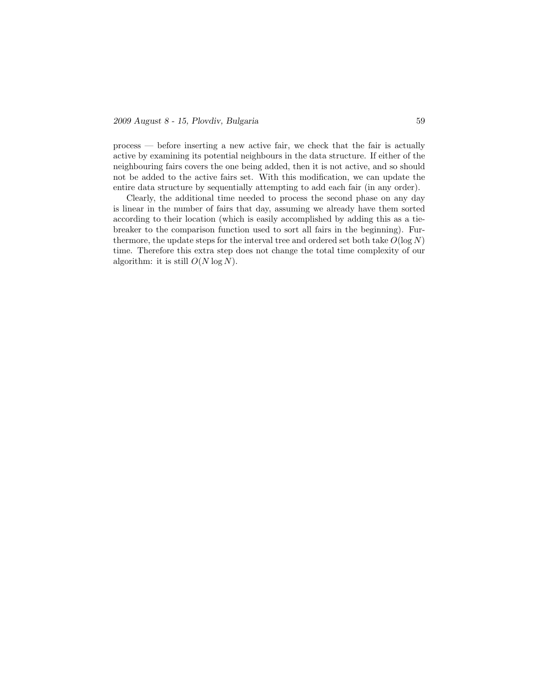process — before inserting a new active fair, we check that the fair is actually active by examining its potential neighbours in the data structure. If either of the neighbouring fairs covers the one being added, then it is not active, and so should not be added to the active fairs set. With this modification, we can update the entire data structure by sequentially attempting to add each fair (in any order).

Clearly, the additional time needed to process the second phase on any day is linear in the number of fairs that day, assuming we already have them sorted according to their location (which is easily accomplished by adding this as a tiebreaker to the comparison function used to sort all fairs in the beginning). Furthermore, the update steps for the interval tree and ordered set both take  $O(\log N)$ time. Therefore this extra step does not change the total time complexity of our algorithm: it is still  $O(N \log N)$ .